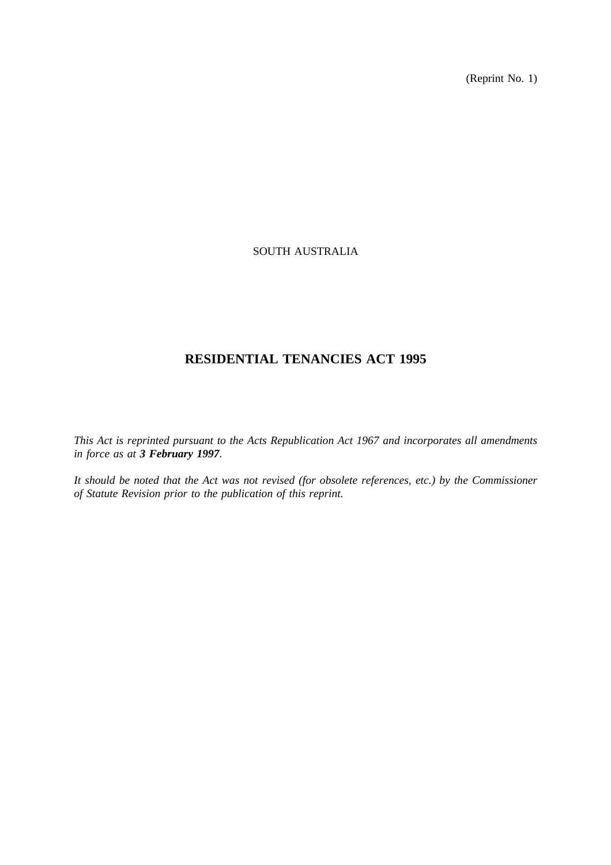(Reprint No. 1)

# SOUTH AUSTRALIA

# **RESIDENTIAL TENANCIES ACT 1995**

*This Act is reprinted pursuant to the Acts Republication Act 1967 and incorporates all amendments in force as at 3 February 1997.*

*It should be noted that the Act was not revised (for obsolete references, etc.) by the Commissioner of Statute Revision prior to the publication of this reprint.*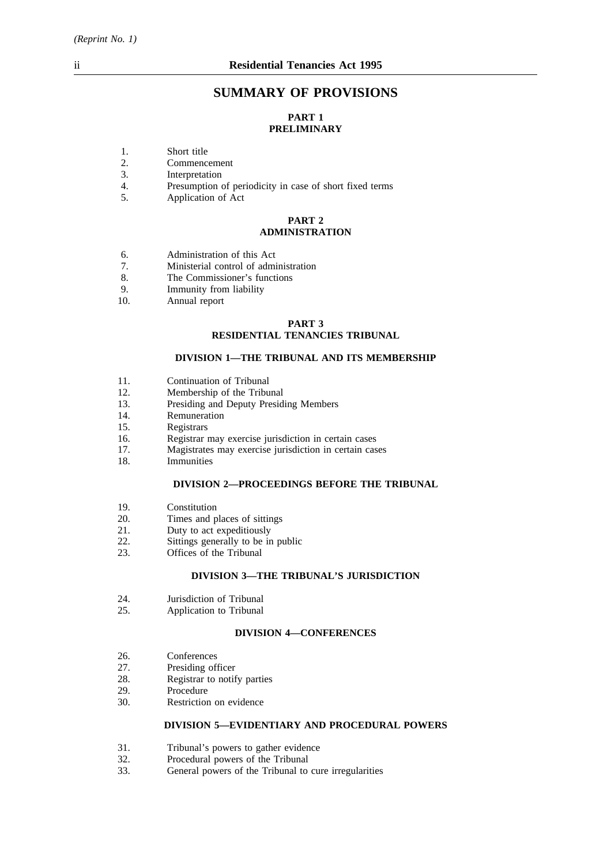# **SUMMARY OF PROVISIONS**

# **PART 1 PRELIMINARY**

- 1. Short title<br>2. Commence
- 2. Commencement<br>3. Interpretation
- 3. Interpretation<br>4. Presumption
- 4. Presumption of periodicity in case of short fixed terms<br>5. Application of Act
- Application of Act

### **PART 2 ADMINISTRATION**

- 6. Administration of this Act<br>
7. Ministerial control of admi
- 7. Ministerial control of administration<br>8 The Commissioner's functions
- The Commissioner's functions
- 9. Immunity from liability
- 10. Annual report

# **PART 3 RESIDENTIAL TENANCIES TRIBUNAL**

### **DIVISION 1—THE TRIBUNAL AND ITS MEMBERSHIP**

- 11. Continuation of Tribunal
- 12. Membership of the Tribunal
- 13. Presiding and Deputy Presiding Members
- 14. Remuneration
- 15. Registrars
- 16. Registrar may exercise jurisdiction in certain cases
- 17. Magistrates may exercise jurisdiction in certain cases
- 18. Immunities

#### **DIVISION 2—PROCEEDINGS BEFORE THE TRIBUNAL**

- 19. Constitution
- 20. Times and places of sittings
- 21. Duty to act expeditiously<br>22. Sittings generally to be in
- 22. Sittings generally to be in public<br>23. Offices of the Tribunal
- Offices of the Tribunal

### **DIVISION 3—THE TRIBUNAL'S JURISDICTION**

- 24. Jurisdiction of Tribunal
- 25. Application to Tribunal

### **DIVISION 4—CONFERENCES**

- 26. Conferences<br>27. Presiding of
- 
- 27. Presiding officer<br>28. Registrar to notif 28. Registrar to notify parties<br>29. Procedure
- Procedure
- 30. Restriction on evidence

### **DIVISION 5—EVIDENTIARY AND PROCEDURAL POWERS**

- 31. Tribunal's powers to gather evidence<br>32. Procedural nowers of the Tribunal
- 32. Procedural powers of the Tribunal 33. General powers of the Tribunal to
- General powers of the Tribunal to cure irregularities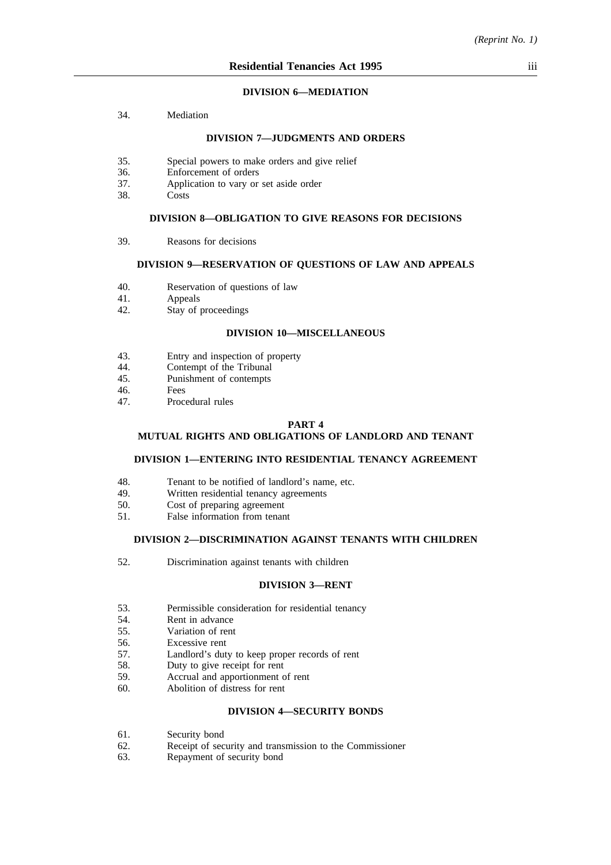### **DIVISION 6—MEDIATION**

34. Mediation

#### **DIVISION 7—JUDGMENTS AND ORDERS**

- 35. Special powers to make orders and give relief
- 36. Enforcement of orders
- 37. Application to vary or set aside order
- 38. Costs

#### **DIVISION 8—OBLIGATION TO GIVE REASONS FOR DECISIONS**

39. Reasons for decisions

### **DIVISION 9—RESERVATION OF QUESTIONS OF LAW AND APPEALS**

- 40. Reservation of questions of law<br>41. Appeals
- **Appeals**
- 42. Stay of proceedings

### **DIVISION 10—MISCELLANEOUS**

- 43. Entry and inspection of property<br>44. Contempt of the Tribunal
- 44. Contempt of the Tribunal<br>45 Punishment of contempts
- 45. Punishment of contempts<br>46
- 46. Fees<br>47 Proce
- Procedural rules

#### **PART 4**

### **MUTUAL RIGHTS AND OBLIGATIONS OF LANDLORD AND TENANT**

#### **DIVISION 1—ENTERING INTO RESIDENTIAL TENANCY AGREEMENT**

- 48. Tenant to be notified of landlord's name, etc.<br>49. Written residential tenancy agreements
- Written residential tenancy agreements
- 50. Cost of preparing agreement
- 51. False information from tenant

#### **DIVISION 2—DISCRIMINATION AGAINST TENANTS WITH CHILDREN**

52. Discrimination against tenants with children

#### **DIVISION 3—RENT**

- 53. Permissible consideration for residential tenancy
- 54. Rent in advance
- 55. Variation of rent
- 56. Excessive rent
- 57. Landlord's duty to keep proper records of rent
- 58. Duty to give receipt for rent
- 59. Accrual and apportionment of rent
- 60. Abolition of distress for rent

### **DIVISION 4—SECURITY BONDS**

- 61. Security bond
- 62. Receipt of security and transmission to the Commissioner
- 63. Repayment of security bond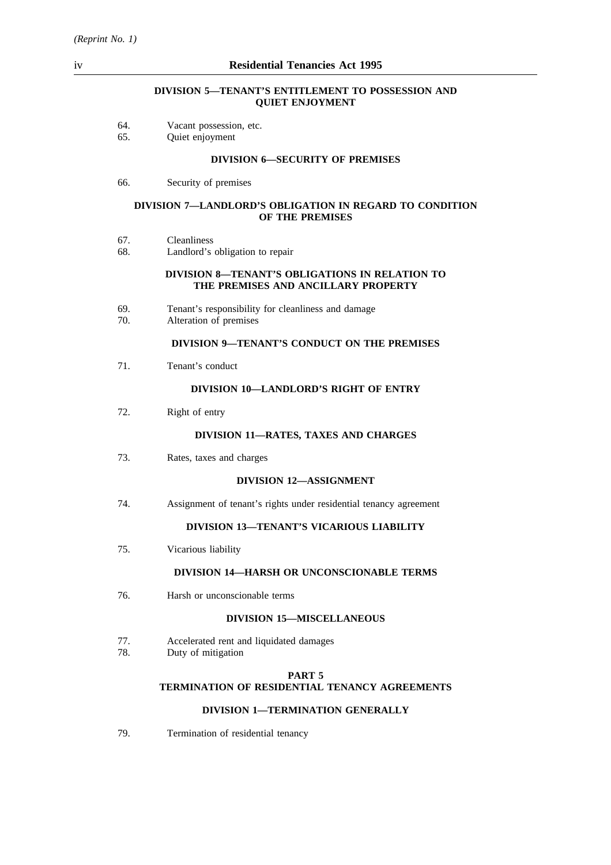### **DIVISION 5—TENANT'S ENTITLEMENT TO POSSESSION AND QUIET ENJOYMENT**

| 64.<br>Vacant possession, etc. |  |
|--------------------------------|--|
|--------------------------------|--|

65. Quiet enjoyment

#### **DIVISION 6—SECURITY OF PREMISES**

66. Security of premises

#### **DIVISION 7—LANDLORD'S OBLIGATION IN REGARD TO CONDITION OF THE PREMISES**

- 67. Cleanliness
- 68. Landlord's obligation to repair

### **DIVISION 8—TENANT'S OBLIGATIONS IN RELATION TO THE PREMISES AND ANCILLARY PROPERTY**

- 69. Tenant's responsibility for cleanliness and damage
- Alteration of premises

# **DIVISION 9—TENANT'S CONDUCT ON THE PREMISES**

71. Tenant's conduct

#### **DIVISION 10—LANDLORD'S RIGHT OF ENTRY**

72. Right of entry

#### **DIVISION 11—RATES, TAXES AND CHARGES**

73. Rates, taxes and charges

#### **DIVISION 12—ASSIGNMENT**

74. Assignment of tenant's rights under residential tenancy agreement

# **DIVISION 13—TENANT'S VICARIOUS LIABILITY**

75. Vicarious liability

#### **DIVISION 14—HARSH OR UNCONSCIONABLE TERMS**

76. Harsh or unconscionable terms

# **DIVISION 15—MISCELLANEOUS**

- 77. Accelerated rent and liquidated damages
- 78. Duty of mitigation

#### **PART 5**

# **TERMINATION OF RESIDENTIAL TENANCY AGREEMENTS**

### **DIVISION 1—TERMINATION GENERALLY**

79. Termination of residential tenancy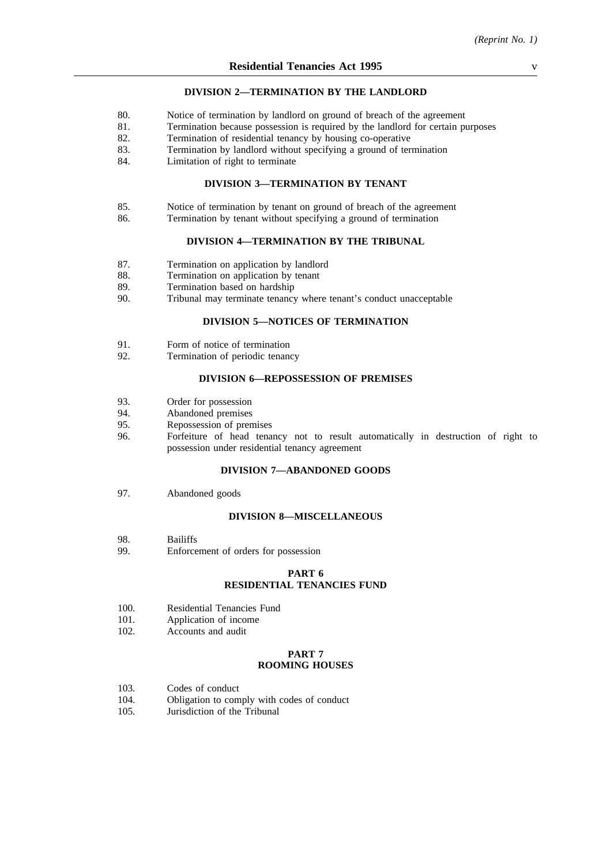#### **DIVISION 2—TERMINATION BY THE LANDLORD**

- 80. Notice of termination by landlord on ground of breach of the agreement
- 81. Termination because possession is required by the landlord for certain purposes
- 82. Termination of residential tenancy by housing co-operative
- 83. Termination by landlord without specifying a ground of termination
- 84. Limitation of right to terminate

#### **DIVISION 3—TERMINATION BY TENANT**

- 85. Notice of termination by tenant on ground of breach of the agreement
- 86. Termination by tenant without specifying a ground of termination

### **DIVISION 4—TERMINATION BY THE TRIBUNAL**

- 87. Termination on application by landlord<br>88. Termination on application by tenant
- 88. Termination on application by tenant 89. Termination based on hardship
- 89. Termination based on hardship<br>90. Tribunal may terminate tenancy
- Tribunal may terminate tenancy where tenant's conduct unacceptable

# **DIVISION 5—NOTICES OF TERMINATION**

- 91. Form of notice of termination<br>92. Termination of periodic tenanc
- Termination of periodic tenancy

# **DIVISION 6—REPOSSESSION OF PREMISES**

- 93. Order for possession
- 94. Abandoned premises
- 95. Repossession of premises
- 96. Forfeiture of head tenancy not to result automatically in destruction of right to possession under residential tenancy agreement

#### **DIVISION 7—ABANDONED GOODS**

97. Abandoned goods

#### **DIVISION 8—MISCELLANEOUS**

- 98. Bailiffs
- 99. Enforcement of orders for possession

#### **PART 6 RESIDENTIAL TENANCIES FUND**

- 100. Residential Tenancies Fund
- 101. Application of income
- 102. Accounts and audit

#### **PART 7 ROOMING HOUSES**

- 103. Codes of conduct
- 104. Obligation to comply with codes of conduct
- 105. Jurisdiction of the Tribunal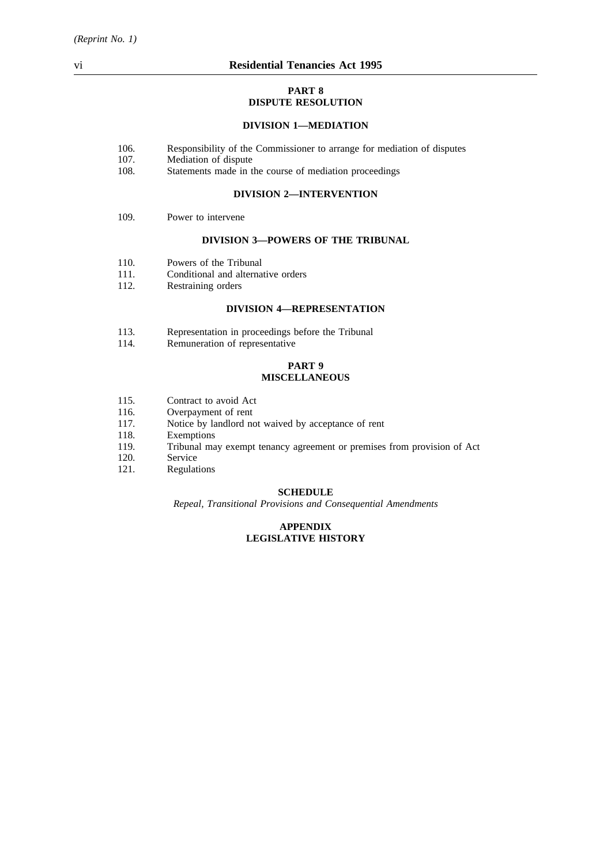#### **PART 8 DISPUTE RESOLUTION**

#### **DIVISION 1—MEDIATION**

- 106. Responsibility of the Commissioner to arrange for mediation of disputes
- 107. Mediation of dispute
- 108. Statements made in the course of mediation proceedings

#### **DIVISION 2—INTERVENTION**

109. Power to intervene

#### **DIVISION 3—POWERS OF THE TRIBUNAL**

- 110. Powers of the Tribunal
- 111. Conditional and alternative orders<br>112. Restraining orders
- Restraining orders

#### **DIVISION 4—REPRESENTATION**

- 113. Representation in proceedings before the Tribunal 114. Remuneration of representative
- Remuneration of representative

# **PART 9 MISCELLANEOUS**

- 115. Contract to avoid Act
- 116. Overpayment of rent<br>117. Notice by landlord no
- Notice by landlord not waived by acceptance of rent
- 118. Exemptions
- 119. Tribunal may exempt tenancy agreement or premises from provision of Act
- 120. Service
- 121. Regulations

#### **SCHEDULE**

*Repeal, Transitional Provisions and Consequential Amendments*

# **APPENDIX LEGISLATIVE HISTORY**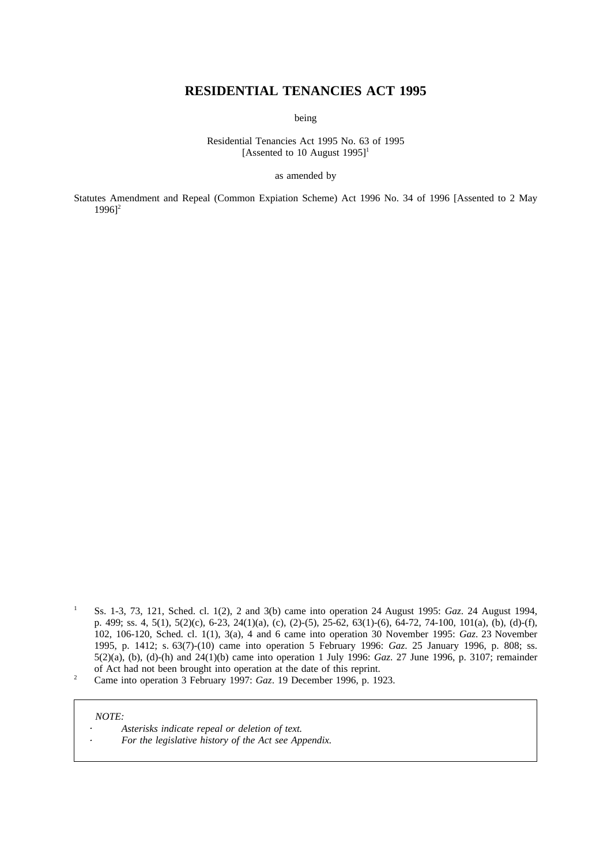# **RESIDENTIAL TENANCIES ACT 1995**

being

Residential Tenancies Act 1995 No. 63 of 1995 [Assented to 10 August  $1995$ ]<sup>1</sup>

as amended by

Statutes Amendment and Repeal (Common Expiation Scheme) Act 1996 No. 34 of 1996 [Assented to 2 May  $19961^2$ 

<sup>1</sup> Ss. 1-3, 73, 121, Sched. cl. 1(2), 2 and 3(b) came into operation 24 August 1995: *Gaz*. 24 August 1994, p. 499; ss. 4, 5(1), 5(2)(c), 6-23, 24(1)(a), (c), (2)-(5), 25-62, 63(1)-(6), 64-72, 74-100, 101(a), (b), (d)-(f), 102, 106-120, Sched. cl. 1(1), 3(a), 4 and 6 came into operation 30 November 1995: *Gaz*. 23 November 1995, p. 1412; s. 63(7)-(10) came into operation 5 February 1996: *Gaz*. 25 January 1996, p. 808; ss. 5(2)(a), (b), (d)-(h) and 24(1)(b) came into operation 1 July 1996: *Gaz*. 27 June 1996, p. 3107; remainder of Act had not been brought into operation at the date of this reprint.

<sup>2</sup> Came into operation 3 February 1997: *Gaz*. 19 December 1996, p. 1923.

*NOTE:*

*Asterisks indicate repeal or deletion of text.*

*For the legislative history of the Act see Appendix.*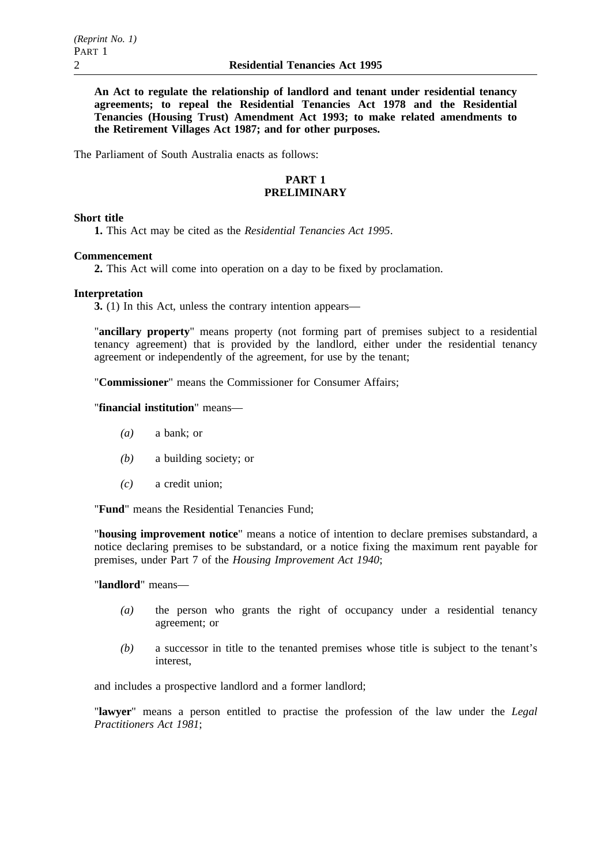**An Act to regulate the relationship of landlord and tenant under residential tenancy agreements; to repeal the Residential Tenancies Act 1978 and the Residential Tenancies (Housing Trust) Amendment Act 1993; to make related amendments to the Retirement Villages Act 1987; and for other purposes.**

The Parliament of South Australia enacts as follows:

# **PART 1 PRELIMINARY**

### **Short title**

**1.** This Act may be cited as the *Residential Tenancies Act 1995*.

#### **Commencement**

**2.** This Act will come into operation on a day to be fixed by proclamation.

### **Interpretation**

**3.** (1) In this Act, unless the contrary intention appears—

"**ancillary property**" means property (not forming part of premises subject to a residential tenancy agreement) that is provided by the landlord, either under the residential tenancy agreement or independently of the agreement, for use by the tenant;

"**Commissioner**" means the Commissioner for Consumer Affairs;

# "**financial institution**" means—

- *(a)* a bank; or
- *(b)* a building society; or
- *(c)* a credit union;

"**Fund**" means the Residential Tenancies Fund;

"**housing improvement notice**" means a notice of intention to declare premises substandard, a notice declaring premises to be substandard, or a notice fixing the maximum rent payable for premises, under Part 7 of the *Housing Improvement Act 1940*;

"**landlord**" means—

- *(a)* the person who grants the right of occupancy under a residential tenancy agreement; or
- *(b)* a successor in title to the tenanted premises whose title is subject to the tenant's interest,

and includes a prospective landlord and a former landlord;

"**lawyer**" means a person entitled to practise the profession of the law under the *Legal Practitioners Act 1981*;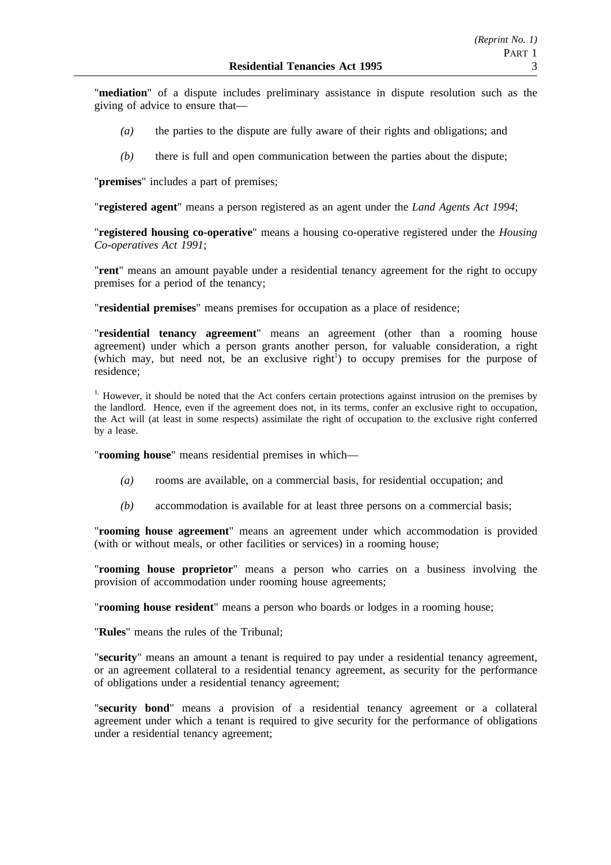"**mediation**" of a dispute includes preliminary assistance in dispute resolution such as the giving of advice to ensure that—

- *(a)* the parties to the dispute are fully aware of their rights and obligations; and
- *(b)* there is full and open communication between the parties about the dispute;

"**premises**" includes a part of premises;

"**registered agent**" means a person registered as an agent under the *Land Agents Act 1994*;

"**registered housing co-operative**" means a housing co-operative registered under the *Housing Co-operatives Act 1991*;

"**rent**" means an amount payable under a residential tenancy agreement for the right to occupy premises for a period of the tenancy;

"**residential premises**" means premises for occupation as a place of residence;

"**residential tenancy agreement**" means an agreement (other than a rooming house agreement) under which a person grants another person, for valuable consideration, a right (which may, but need not, be an exclusive right<sup>1</sup>) to occupy premises for the purpose of residence;

<sup>1.</sup> However, it should be noted that the Act confers certain protections against intrusion on the premises by the landlord. Hence, even if the agreement does not, in its terms, confer an exclusive right to occupation, the Act will (at least in some respects) assimilate the right of occupation to the exclusive right conferred by a lease.

"**rooming house**" means residential premises in which—

- *(a)* rooms are available, on a commercial basis, for residential occupation; and
- *(b)* accommodation is available for at least three persons on a commercial basis;

"**rooming house agreement**" means an agreement under which accommodation is provided (with or without meals, or other facilities or services) in a rooming house;

"**rooming house proprietor**" means a person who carries on a business involving the provision of accommodation under rooming house agreements;

"**rooming house resident**" means a person who boards or lodges in a rooming house;

"**Rules**" means the rules of the Tribunal;

"**security**" means an amount a tenant is required to pay under a residential tenancy agreement, or an agreement collateral to a residential tenancy agreement, as security for the performance of obligations under a residential tenancy agreement;

"**security bond**" means a provision of a residential tenancy agreement or a collateral agreement under which a tenant is required to give security for the performance of obligations under a residential tenancy agreement;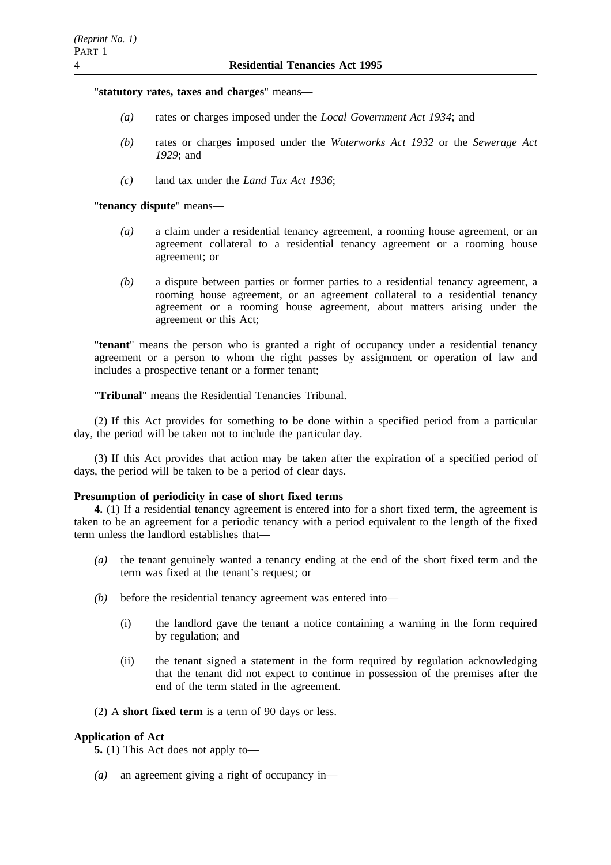"**statutory rates, taxes and charges**" means—

- *(a)* rates or charges imposed under the *Local Government Act 1934*; and
- *(b)* rates or charges imposed under the *Waterworks Act 1932* or the *Sewerage Act 1929*; and
- *(c)* land tax under the *Land Tax Act 1936*;

"**tenancy dispute**" means—

- *(a)* a claim under a residential tenancy agreement, a rooming house agreement, or an agreement collateral to a residential tenancy agreement or a rooming house agreement; or
- *(b)* a dispute between parties or former parties to a residential tenancy agreement, a rooming house agreement, or an agreement collateral to a residential tenancy agreement or a rooming house agreement, about matters arising under the agreement or this Act;

"**tenant**" means the person who is granted a right of occupancy under a residential tenancy agreement or a person to whom the right passes by assignment or operation of law and includes a prospective tenant or a former tenant;

"**Tribunal**" means the Residential Tenancies Tribunal.

(2) If this Act provides for something to be done within a specified period from a particular day, the period will be taken not to include the particular day.

(3) If this Act provides that action may be taken after the expiration of a specified period of days, the period will be taken to be a period of clear days.

# **Presumption of periodicity in case of short fixed terms**

**4.** (1) If a residential tenancy agreement is entered into for a short fixed term, the agreement is taken to be an agreement for a periodic tenancy with a period equivalent to the length of the fixed term unless the landlord establishes that—

- *(a)* the tenant genuinely wanted a tenancy ending at the end of the short fixed term and the term was fixed at the tenant's request; or
- *(b)* before the residential tenancy agreement was entered into—
	- (i) the landlord gave the tenant a notice containing a warning in the form required by regulation; and
	- (ii) the tenant signed a statement in the form required by regulation acknowledging that the tenant did not expect to continue in possession of the premises after the end of the term stated in the agreement.
- (2) A **short fixed term** is a term of 90 days or less.

### **Application of Act**

**5.** (1) This Act does not apply to—

*(a)* an agreement giving a right of occupancy in—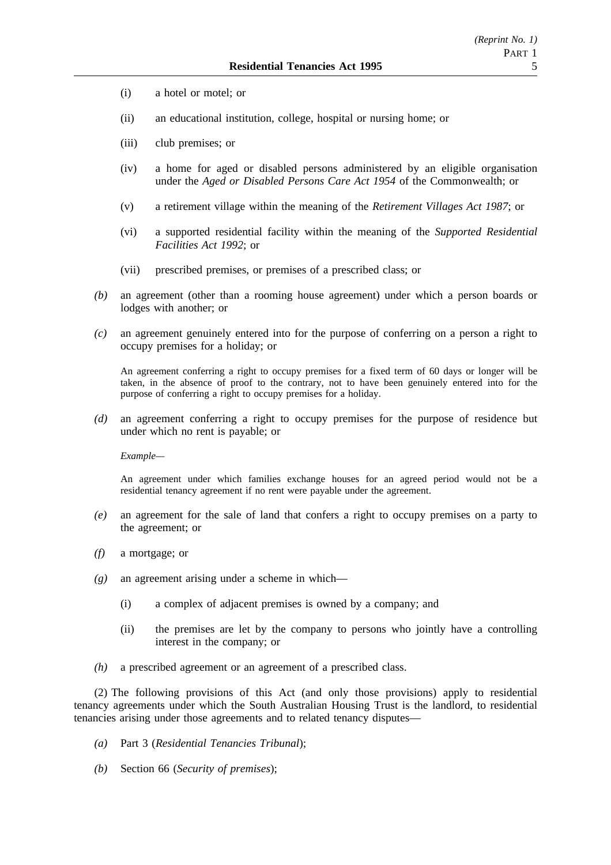- (i) a hotel or motel; or
- (ii) an educational institution, college, hospital or nursing home; or
- (iii) club premises; or
- (iv) a home for aged or disabled persons administered by an eligible organisation under the *Aged or Disabled Persons Care Act 1954* of the Commonwealth; or
- (v) a retirement village within the meaning of the *Retirement Villages Act 1987*; or
- (vi) a supported residential facility within the meaning of the *Supported Residential Facilities Act 1992*; or
- (vii) prescribed premises, or premises of a prescribed class; or
- *(b)* an agreement (other than a rooming house agreement) under which a person boards or lodges with another; or
- *(c)* an agreement genuinely entered into for the purpose of conferring on a person a right to occupy premises for a holiday; or

An agreement conferring a right to occupy premises for a fixed term of 60 days or longer will be taken, in the absence of proof to the contrary, not to have been genuinely entered into for the purpose of conferring a right to occupy premises for a holiday.

*(d)* an agreement conferring a right to occupy premises for the purpose of residence but under which no rent is payable; or

*Example—*

An agreement under which families exchange houses for an agreed period would not be a residential tenancy agreement if no rent were payable under the agreement.

- *(e)* an agreement for the sale of land that confers a right to occupy premises on a party to the agreement; or
- *(f)* a mortgage; or
- *(g)* an agreement arising under a scheme in which—
	- (i) a complex of adjacent premises is owned by a company; and
	- (ii) the premises are let by the company to persons who jointly have a controlling interest in the company; or
- *(h)* a prescribed agreement or an agreement of a prescribed class.

(2) The following provisions of this Act (and only those provisions) apply to residential tenancy agreements under which the South Australian Housing Trust is the landlord, to residential tenancies arising under those agreements and to related tenancy disputes—

- *(a)* Part 3 (*Residential Tenancies Tribunal*);
- *(b)* Section 66 (*Security of premises*);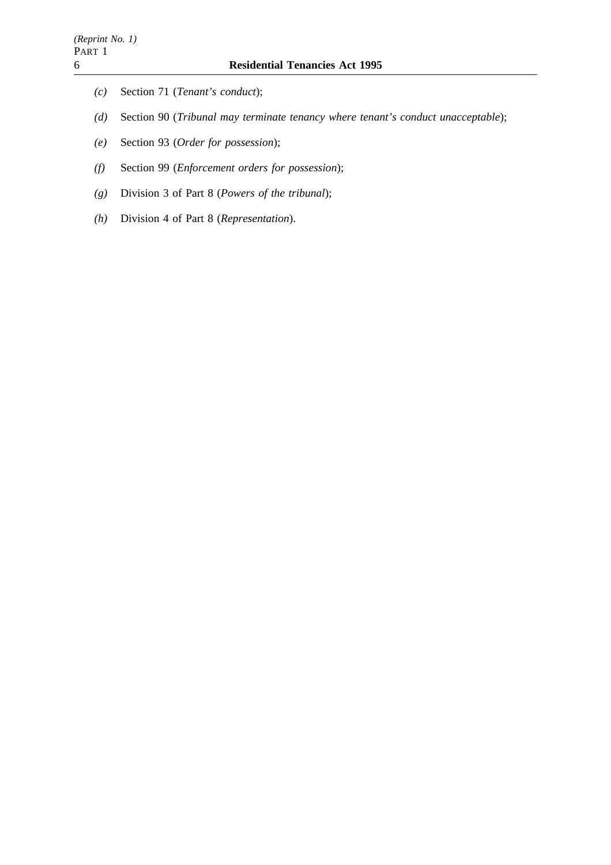- *(c)* Section 71 (*Tenant's conduct*);
- *(d)* Section 90 (*Tribunal may terminate tenancy where tenant's conduct unacceptable*);
- *(e)* Section 93 (*Order for possession*);
- *(f)* Section 99 (*Enforcement orders for possession*);
- *(g)* Division 3 of Part 8 (*Powers of the tribunal*);
- *(h)* Division 4 of Part 8 (*Representation*).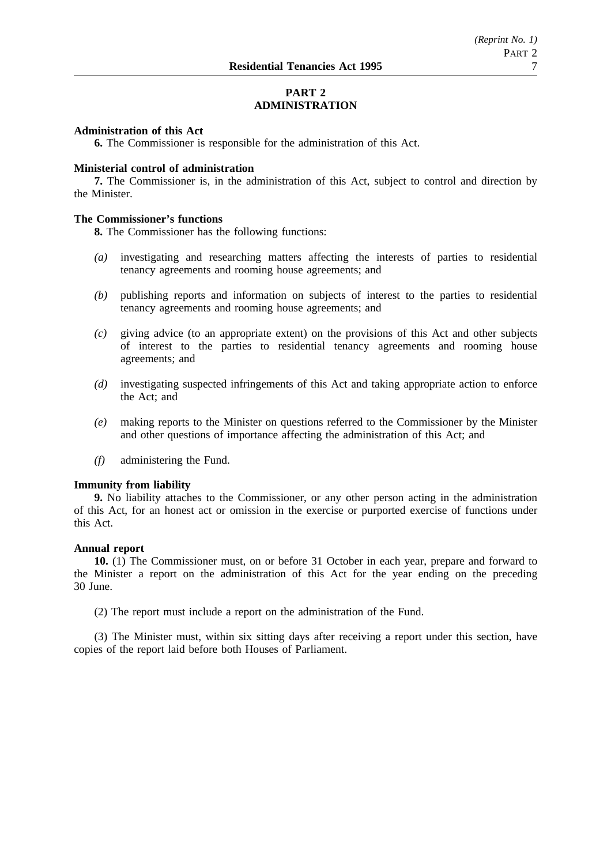# **PART 2 ADMINISTRATION**

### **Administration of this Act**

**6.** The Commissioner is responsible for the administration of this Act.

### **Ministerial control of administration**

**7.** The Commissioner is, in the administration of this Act, subject to control and direction by the Minister.

# **The Commissioner's functions**

**8.** The Commissioner has the following functions:

- *(a)* investigating and researching matters affecting the interests of parties to residential tenancy agreements and rooming house agreements; and
- *(b)* publishing reports and information on subjects of interest to the parties to residential tenancy agreements and rooming house agreements; and
- *(c)* giving advice (to an appropriate extent) on the provisions of this Act and other subjects of interest to the parties to residential tenancy agreements and rooming house agreements; and
- *(d)* investigating suspected infringements of this Act and taking appropriate action to enforce the Act; and
- *(e)* making reports to the Minister on questions referred to the Commissioner by the Minister and other questions of importance affecting the administration of this Act; and
- *(f)* administering the Fund.

#### **Immunity from liability**

**9.** No liability attaches to the Commissioner, or any other person acting in the administration of this Act, for an honest act or omission in the exercise or purported exercise of functions under this Act.

### **Annual report**

**10.** (1) The Commissioner must, on or before 31 October in each year, prepare and forward to the Minister a report on the administration of this Act for the year ending on the preceding 30 June.

(2) The report must include a report on the administration of the Fund.

(3) The Minister must, within six sitting days after receiving a report under this section, have copies of the report laid before both Houses of Parliament.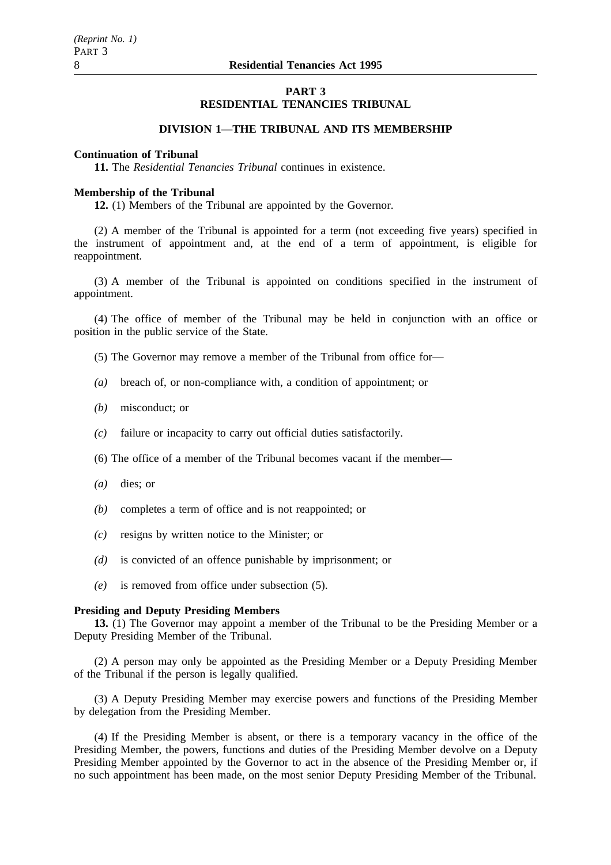### **PART 3 RESIDENTIAL TENANCIES TRIBUNAL**

# **DIVISION 1—THE TRIBUNAL AND ITS MEMBERSHIP**

# **Continuation of Tribunal**

**11.** The *Residential Tenancies Tribunal* continues in existence.

#### **Membership of the Tribunal**

**12.** (1) Members of the Tribunal are appointed by the Governor.

(2) A member of the Tribunal is appointed for a term (not exceeding five years) specified in the instrument of appointment and, at the end of a term of appointment, is eligible for reappointment.

(3) A member of the Tribunal is appointed on conditions specified in the instrument of appointment.

(4) The office of member of the Tribunal may be held in conjunction with an office or position in the public service of the State.

(5) The Governor may remove a member of the Tribunal from office for—

- *(a)* breach of, or non-compliance with, a condition of appointment; or
- *(b)* misconduct; or
- *(c)* failure or incapacity to carry out official duties satisfactorily.
- (6) The office of a member of the Tribunal becomes vacant if the member—
- *(a)* dies; or
- *(b)* completes a term of office and is not reappointed; or
- *(c)* resigns by written notice to the Minister; or
- *(d)* is convicted of an offence punishable by imprisonment; or
- *(e)* is removed from office under subsection (5).

#### **Presiding and Deputy Presiding Members**

**13.** (1) The Governor may appoint a member of the Tribunal to be the Presiding Member or a Deputy Presiding Member of the Tribunal.

(2) A person may only be appointed as the Presiding Member or a Deputy Presiding Member of the Tribunal if the person is legally qualified.

(3) A Deputy Presiding Member may exercise powers and functions of the Presiding Member by delegation from the Presiding Member.

(4) If the Presiding Member is absent, or there is a temporary vacancy in the office of the Presiding Member, the powers, functions and duties of the Presiding Member devolve on a Deputy Presiding Member appointed by the Governor to act in the absence of the Presiding Member or, if no such appointment has been made, on the most senior Deputy Presiding Member of the Tribunal.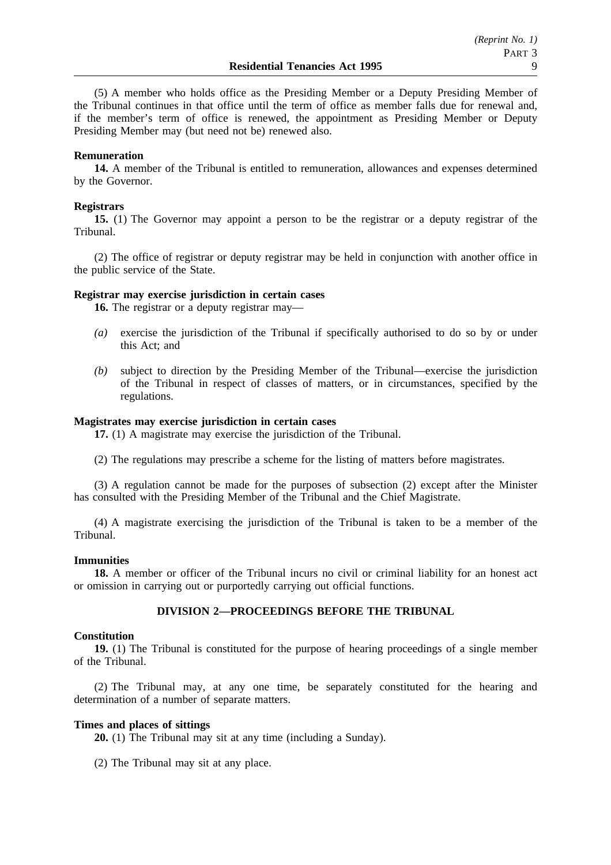(5) A member who holds office as the Presiding Member or a Deputy Presiding Member of the Tribunal continues in that office until the term of office as member falls due for renewal and, if the member's term of office is renewed, the appointment as Presiding Member or Deputy Presiding Member may (but need not be) renewed also.

# **Remuneration**

**14.** A member of the Tribunal is entitled to remuneration, allowances and expenses determined by the Governor.

# **Registrars**

**15.** (1) The Governor may appoint a person to be the registrar or a deputy registrar of the Tribunal.

(2) The office of registrar or deputy registrar may be held in conjunction with another office in the public service of the State.

### **Registrar may exercise jurisdiction in certain cases**

**16.** The registrar or a deputy registrar may—

- *(a)* exercise the jurisdiction of the Tribunal if specifically authorised to do so by or under this Act; and
- *(b)* subject to direction by the Presiding Member of the Tribunal—exercise the jurisdiction of the Tribunal in respect of classes of matters, or in circumstances, specified by the regulations.

# **Magistrates may exercise jurisdiction in certain cases**

**17.** (1) A magistrate may exercise the jurisdiction of the Tribunal.

(2) The regulations may prescribe a scheme for the listing of matters before magistrates.

(3) A regulation cannot be made for the purposes of subsection (2) except after the Minister has consulted with the Presiding Member of the Tribunal and the Chief Magistrate.

(4) A magistrate exercising the jurisdiction of the Tribunal is taken to be a member of the Tribunal.

### **Immunities**

**18.** A member or officer of the Tribunal incurs no civil or criminal liability for an honest act or omission in carrying out or purportedly carrying out official functions.

# **DIVISION 2—PROCEEDINGS BEFORE THE TRIBUNAL**

### **Constitution**

**19.** (1) The Tribunal is constituted for the purpose of hearing proceedings of a single member of the Tribunal.

(2) The Tribunal may, at any one time, be separately constituted for the hearing and determination of a number of separate matters.

# **Times and places of sittings**

**20.** (1) The Tribunal may sit at any time (including a Sunday).

(2) The Tribunal may sit at any place.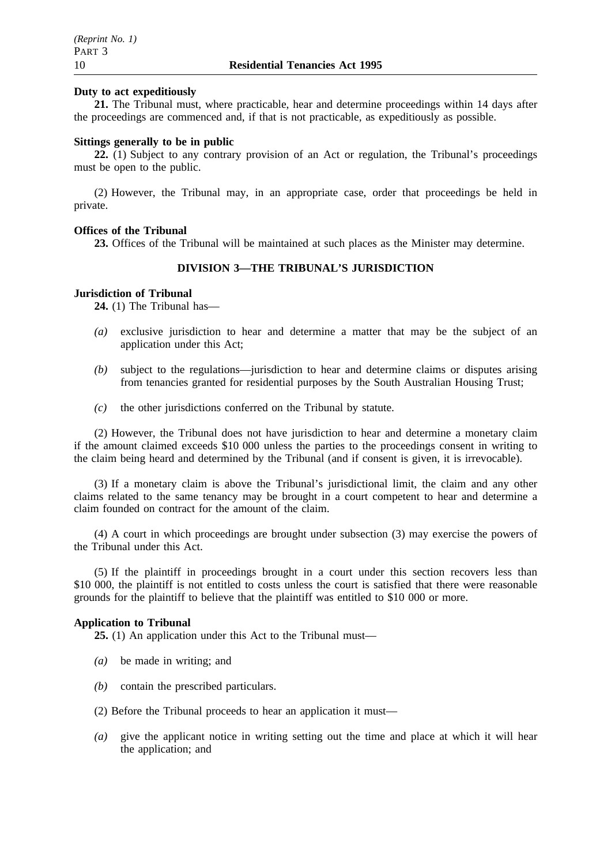### **Duty to act expeditiously**

**21.** The Tribunal must, where practicable, hear and determine proceedings within 14 days after the proceedings are commenced and, if that is not practicable, as expeditiously as possible.

# **Sittings generally to be in public**

**22.** (1) Subject to any contrary provision of an Act or regulation, the Tribunal's proceedings must be open to the public.

(2) However, the Tribunal may, in an appropriate case, order that proceedings be held in private.

# **Offices of the Tribunal**

**23.** Offices of the Tribunal will be maintained at such places as the Minister may determine.

# **DIVISION 3—THE TRIBUNAL'S JURISDICTION**

#### **Jurisdiction of Tribunal**

**24.** (1) The Tribunal has—

- *(a)* exclusive jurisdiction to hear and determine a matter that may be the subject of an application under this Act;
- *(b)* subject to the regulations—jurisdiction to hear and determine claims or disputes arising from tenancies granted for residential purposes by the South Australian Housing Trust;
- *(c)* the other jurisdictions conferred on the Tribunal by statute.

(2) However, the Tribunal does not have jurisdiction to hear and determine a monetary claim if the amount claimed exceeds \$10 000 unless the parties to the proceedings consent in writing to the claim being heard and determined by the Tribunal (and if consent is given, it is irrevocable).

(3) If a monetary claim is above the Tribunal's jurisdictional limit, the claim and any other claims related to the same tenancy may be brought in a court competent to hear and determine a claim founded on contract for the amount of the claim.

(4) A court in which proceedings are brought under subsection (3) may exercise the powers of the Tribunal under this Act.

(5) If the plaintiff in proceedings brought in a court under this section recovers less than \$10 000, the plaintiff is not entitled to costs unless the court is satisfied that there were reasonable grounds for the plaintiff to believe that the plaintiff was entitled to \$10 000 or more.

#### **Application to Tribunal**

**25.** (1) An application under this Act to the Tribunal must—

- *(a)* be made in writing; and
- *(b)* contain the prescribed particulars.
- (2) Before the Tribunal proceeds to hear an application it must—
- *(a)* give the applicant notice in writing setting out the time and place at which it will hear the application; and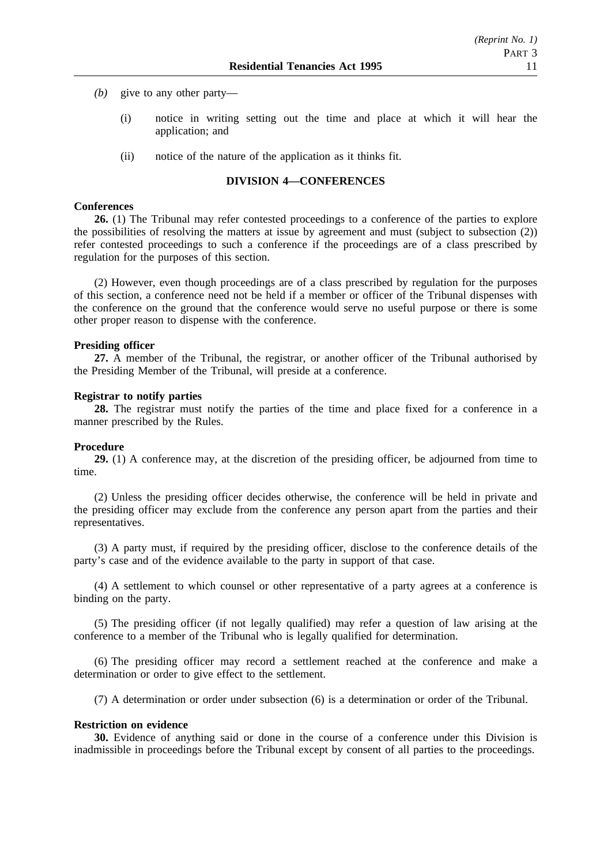- *(b)* give to any other party—
	- (i) notice in writing setting out the time and place at which it will hear the application; and
	- (ii) notice of the nature of the application as it thinks fit.

### **DIVISION 4—CONFERENCES**

#### **Conferences**

**26.** (1) The Tribunal may refer contested proceedings to a conference of the parties to explore the possibilities of resolving the matters at issue by agreement and must (subject to subsection (2)) refer contested proceedings to such a conference if the proceedings are of a class prescribed by regulation for the purposes of this section.

(2) However, even though proceedings are of a class prescribed by regulation for the purposes of this section, a conference need not be held if a member or officer of the Tribunal dispenses with the conference on the ground that the conference would serve no useful purpose or there is some other proper reason to dispense with the conference.

#### **Presiding officer**

**27.** A member of the Tribunal, the registrar, or another officer of the Tribunal authorised by the Presiding Member of the Tribunal, will preside at a conference.

#### **Registrar to notify parties**

**28.** The registrar must notify the parties of the time and place fixed for a conference in a manner prescribed by the Rules.

#### **Procedure**

**29.** (1) A conference may, at the discretion of the presiding officer, be adjourned from time to time.

(2) Unless the presiding officer decides otherwise, the conference will be held in private and the presiding officer may exclude from the conference any person apart from the parties and their representatives.

(3) A party must, if required by the presiding officer, disclose to the conference details of the party's case and of the evidence available to the party in support of that case.

(4) A settlement to which counsel or other representative of a party agrees at a conference is binding on the party.

(5) The presiding officer (if not legally qualified) may refer a question of law arising at the conference to a member of the Tribunal who is legally qualified for determination.

(6) The presiding officer may record a settlement reached at the conference and make a determination or order to give effect to the settlement.

(7) A determination or order under subsection (6) is a determination or order of the Tribunal.

### **Restriction on evidence**

**30.** Evidence of anything said or done in the course of a conference under this Division is inadmissible in proceedings before the Tribunal except by consent of all parties to the proceedings.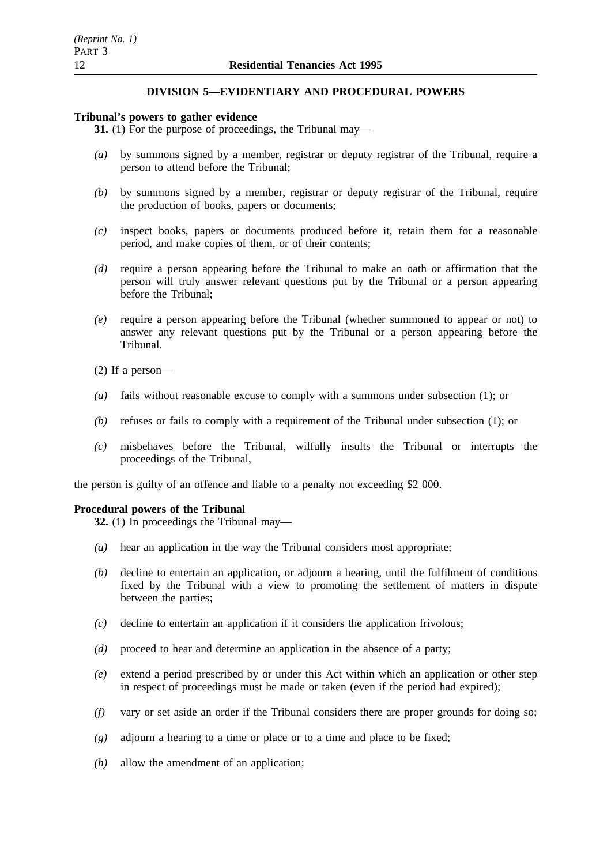# **DIVISION 5—EVIDENTIARY AND PROCEDURAL POWERS**

# **Tribunal's powers to gather evidence**

**31.** (1) For the purpose of proceedings, the Tribunal may—

- *(a)* by summons signed by a member, registrar or deputy registrar of the Tribunal, require a person to attend before the Tribunal;
- *(b)* by summons signed by a member, registrar or deputy registrar of the Tribunal, require the production of books, papers or documents;
- *(c)* inspect books, papers or documents produced before it, retain them for a reasonable period, and make copies of them, or of their contents;
- *(d)* require a person appearing before the Tribunal to make an oath or affirmation that the person will truly answer relevant questions put by the Tribunal or a person appearing before the Tribunal;
- *(e)* require a person appearing before the Tribunal (whether summoned to appear or not) to answer any relevant questions put by the Tribunal or a person appearing before the Tribunal.
- (2) If a person—
- *(a)* fails without reasonable excuse to comply with a summons under subsection (1); or
- *(b)* refuses or fails to comply with a requirement of the Tribunal under subsection (1); or
- *(c)* misbehaves before the Tribunal, wilfully insults the Tribunal or interrupts the proceedings of the Tribunal,

the person is guilty of an offence and liable to a penalty not exceeding \$2 000.

### **Procedural powers of the Tribunal**

**32.** (1) In proceedings the Tribunal may—

- *(a)* hear an application in the way the Tribunal considers most appropriate;
- *(b)* decline to entertain an application, or adjourn a hearing, until the fulfilment of conditions fixed by the Tribunal with a view to promoting the settlement of matters in dispute between the parties;
- *(c)* decline to entertain an application if it considers the application frivolous;
- *(d)* proceed to hear and determine an application in the absence of a party;
- *(e)* extend a period prescribed by or under this Act within which an application or other step in respect of proceedings must be made or taken (even if the period had expired);
- *(f)* vary or set aside an order if the Tribunal considers there are proper grounds for doing so;
- *(g)* adjourn a hearing to a time or place or to a time and place to be fixed;
- *(h)* allow the amendment of an application;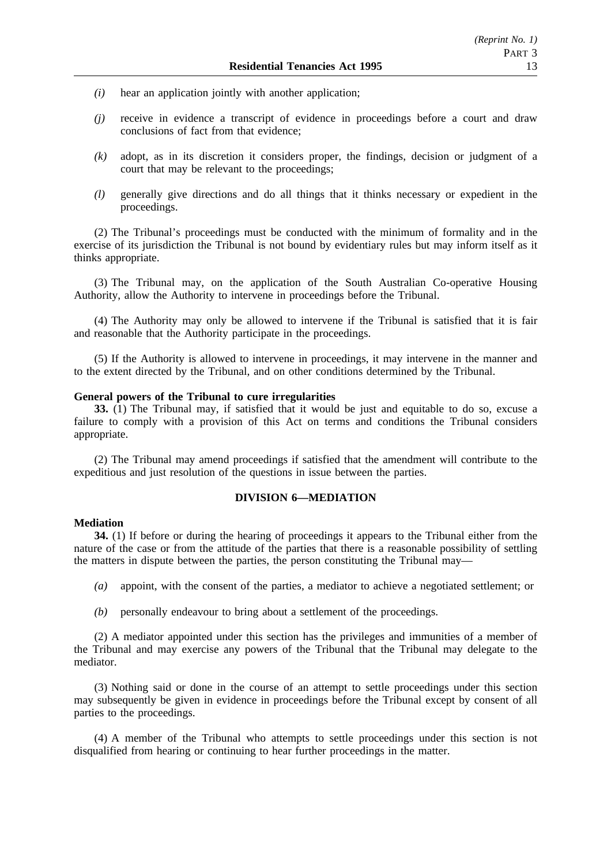- *(i)* hear an application jointly with another application;
- *(j)* receive in evidence a transcript of evidence in proceedings before a court and draw conclusions of fact from that evidence;
- *(k)* adopt, as in its discretion it considers proper, the findings, decision or judgment of a court that may be relevant to the proceedings;
- *(l)* generally give directions and do all things that it thinks necessary or expedient in the proceedings.

(2) The Tribunal's proceedings must be conducted with the minimum of formality and in the exercise of its jurisdiction the Tribunal is not bound by evidentiary rules but may inform itself as it thinks appropriate.

(3) The Tribunal may, on the application of the South Australian Co-operative Housing Authority, allow the Authority to intervene in proceedings before the Tribunal.

(4) The Authority may only be allowed to intervene if the Tribunal is satisfied that it is fair and reasonable that the Authority participate in the proceedings.

(5) If the Authority is allowed to intervene in proceedings, it may intervene in the manner and to the extent directed by the Tribunal, and on other conditions determined by the Tribunal.

#### **General powers of the Tribunal to cure irregularities**

**33.** (1) The Tribunal may, if satisfied that it would be just and equitable to do so, excuse a failure to comply with a provision of this Act on terms and conditions the Tribunal considers appropriate.

(2) The Tribunal may amend proceedings if satisfied that the amendment will contribute to the expeditious and just resolution of the questions in issue between the parties.

# **DIVISION 6—MEDIATION**

### **Mediation**

**34.** (1) If before or during the hearing of proceedings it appears to the Tribunal either from the nature of the case or from the attitude of the parties that there is a reasonable possibility of settling the matters in dispute between the parties, the person constituting the Tribunal may—

- *(a)* appoint, with the consent of the parties, a mediator to achieve a negotiated settlement; or
- *(b)* personally endeavour to bring about a settlement of the proceedings.

(2) A mediator appointed under this section has the privileges and immunities of a member of the Tribunal and may exercise any powers of the Tribunal that the Tribunal may delegate to the mediator.

(3) Nothing said or done in the course of an attempt to settle proceedings under this section may subsequently be given in evidence in proceedings before the Tribunal except by consent of all parties to the proceedings.

(4) A member of the Tribunal who attempts to settle proceedings under this section is not disqualified from hearing or continuing to hear further proceedings in the matter.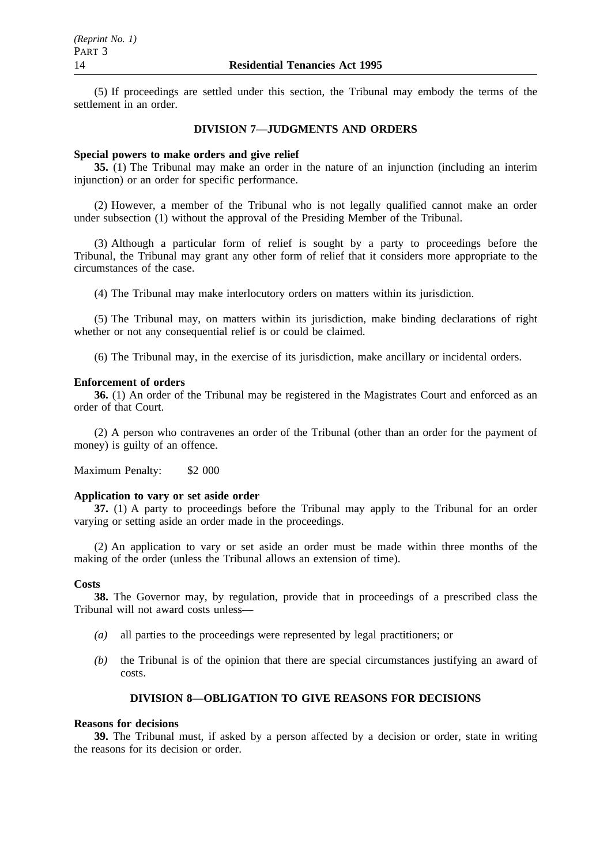(5) If proceedings are settled under this section, the Tribunal may embody the terms of the settlement in an order.

### **DIVISION 7—JUDGMENTS AND ORDERS**

#### **Special powers to make orders and give relief**

**35.** (1) The Tribunal may make an order in the nature of an injunction (including an interim injunction) or an order for specific performance.

(2) However, a member of the Tribunal who is not legally qualified cannot make an order under subsection (1) without the approval of the Presiding Member of the Tribunal.

(3) Although a particular form of relief is sought by a party to proceedings before the Tribunal, the Tribunal may grant any other form of relief that it considers more appropriate to the circumstances of the case.

(4) The Tribunal may make interlocutory orders on matters within its jurisdiction.

(5) The Tribunal may, on matters within its jurisdiction, make binding declarations of right whether or not any consequential relief is or could be claimed.

(6) The Tribunal may, in the exercise of its jurisdiction, make ancillary or incidental orders.

#### **Enforcement of orders**

**36.** (1) An order of the Tribunal may be registered in the Magistrates Court and enforced as an order of that Court.

(2) A person who contravenes an order of the Tribunal (other than an order for the payment of money) is guilty of an offence.

Maximum Penalty: \$2 000

#### **Application to vary or set aside order**

**37.** (1) A party to proceedings before the Tribunal may apply to the Tribunal for an order varying or setting aside an order made in the proceedings.

(2) An application to vary or set aside an order must be made within three months of the making of the order (unless the Tribunal allows an extension of time).

#### **Costs**

**38.** The Governor may, by regulation, provide that in proceedings of a prescribed class the Tribunal will not award costs unless—

- *(a)* all parties to the proceedings were represented by legal practitioners; or
- *(b)* the Tribunal is of the opinion that there are special circumstances justifying an award of costs.

# **DIVISION 8—OBLIGATION TO GIVE REASONS FOR DECISIONS**

#### **Reasons for decisions**

**39.** The Tribunal must, if asked by a person affected by a decision or order, state in writing the reasons for its decision or order.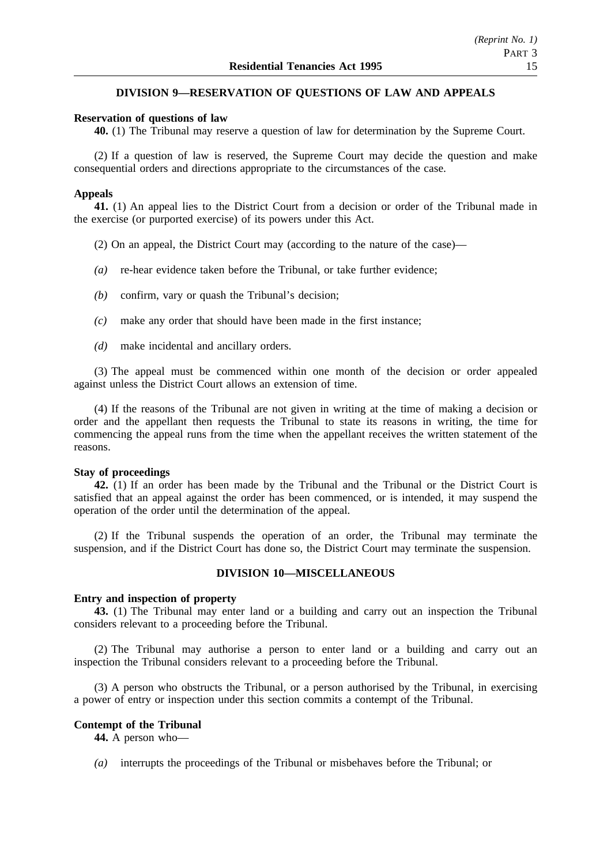# **DIVISION 9—RESERVATION OF QUESTIONS OF LAW AND APPEALS**

### **Reservation of questions of law**

**40.** (1) The Tribunal may reserve a question of law for determination by the Supreme Court.

(2) If a question of law is reserved, the Supreme Court may decide the question and make consequential orders and directions appropriate to the circumstances of the case.

### **Appeals**

**41.** (1) An appeal lies to the District Court from a decision or order of the Tribunal made in the exercise (or purported exercise) of its powers under this Act.

- (2) On an appeal, the District Court may (according to the nature of the case)—
- *(a)* re-hear evidence taken before the Tribunal, or take further evidence;
- *(b)* confirm, vary or quash the Tribunal's decision;
- *(c)* make any order that should have been made in the first instance;
- *(d)* make incidental and ancillary orders.

(3) The appeal must be commenced within one month of the decision or order appealed against unless the District Court allows an extension of time.

(4) If the reasons of the Tribunal are not given in writing at the time of making a decision or order and the appellant then requests the Tribunal to state its reasons in writing, the time for commencing the appeal runs from the time when the appellant receives the written statement of the reasons.

#### **Stay of proceedings**

**42.** (1) If an order has been made by the Tribunal and the Tribunal or the District Court is satisfied that an appeal against the order has been commenced, or is intended, it may suspend the operation of the order until the determination of the appeal.

(2) If the Tribunal suspends the operation of an order, the Tribunal may terminate the suspension, and if the District Court has done so, the District Court may terminate the suspension.

### **DIVISION 10—MISCELLANEOUS**

#### **Entry and inspection of property**

**43.** (1) The Tribunal may enter land or a building and carry out an inspection the Tribunal considers relevant to a proceeding before the Tribunal.

(2) The Tribunal may authorise a person to enter land or a building and carry out an inspection the Tribunal considers relevant to a proceeding before the Tribunal.

(3) A person who obstructs the Tribunal, or a person authorised by the Tribunal, in exercising a power of entry or inspection under this section commits a contempt of the Tribunal.

# **Contempt of the Tribunal**

**44.** A person who—

*(a)* interrupts the proceedings of the Tribunal or misbehaves before the Tribunal; or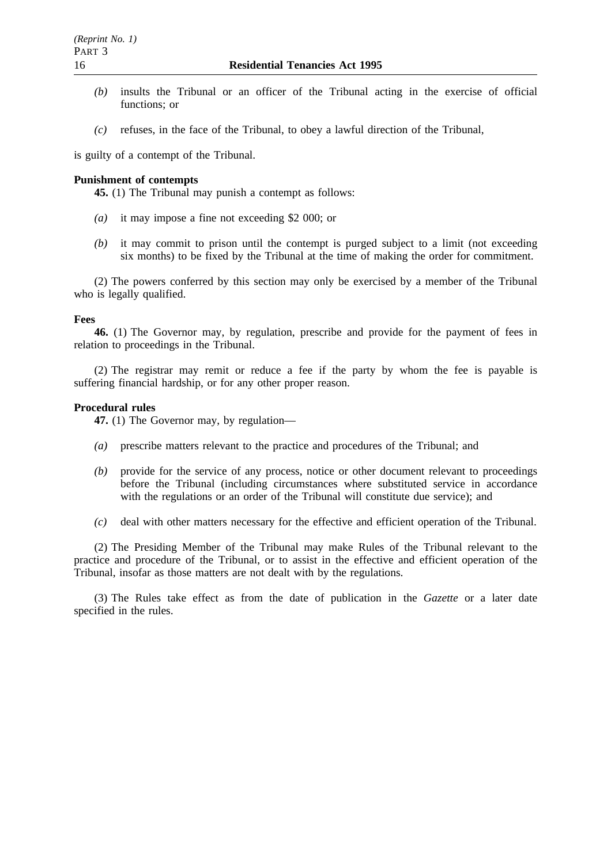- *(b)* insults the Tribunal or an officer of the Tribunal acting in the exercise of official functions; or
- *(c)* refuses, in the face of the Tribunal, to obey a lawful direction of the Tribunal,

is guilty of a contempt of the Tribunal.

# **Punishment of contempts**

**45.** (1) The Tribunal may punish a contempt as follows:

- *(a)* it may impose a fine not exceeding \$2 000; or
- *(b)* it may commit to prison until the contempt is purged subject to a limit (not exceeding six months) to be fixed by the Tribunal at the time of making the order for commitment.

(2) The powers conferred by this section may only be exercised by a member of the Tribunal who is legally qualified.

### **Fees**

**46.** (1) The Governor may, by regulation, prescribe and provide for the payment of fees in relation to proceedings in the Tribunal.

(2) The registrar may remit or reduce a fee if the party by whom the fee is payable is suffering financial hardship, or for any other proper reason.

### **Procedural rules**

**47.** (1) The Governor may, by regulation—

- *(a)* prescribe matters relevant to the practice and procedures of the Tribunal; and
- *(b)* provide for the service of any process, notice or other document relevant to proceedings before the Tribunal (including circumstances where substituted service in accordance with the regulations or an order of the Tribunal will constitute due service); and
- *(c)* deal with other matters necessary for the effective and efficient operation of the Tribunal.

(2) The Presiding Member of the Tribunal may make Rules of the Tribunal relevant to the practice and procedure of the Tribunal, or to assist in the effective and efficient operation of the Tribunal, insofar as those matters are not dealt with by the regulations.

(3) The Rules take effect as from the date of publication in the *Gazette* or a later date specified in the rules.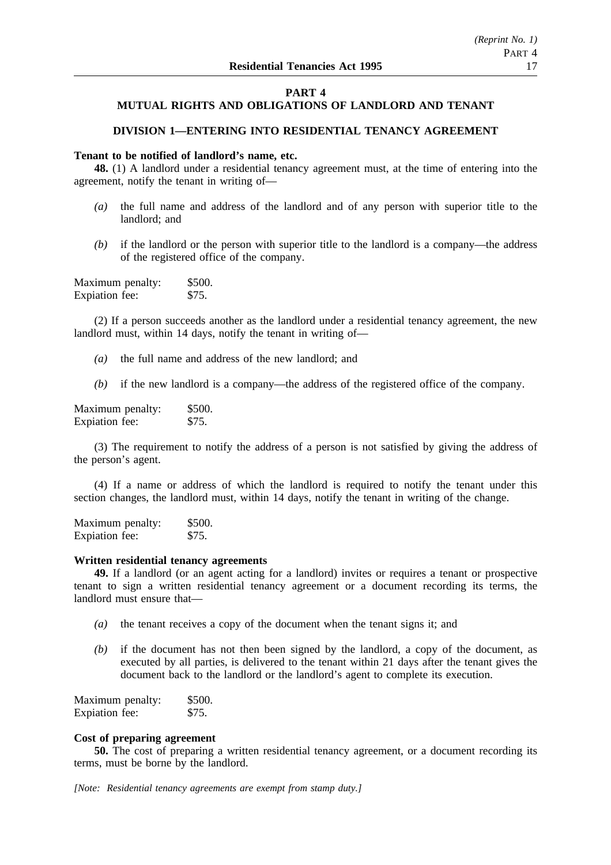# **PART 4**

# **MUTUAL RIGHTS AND OBLIGATIONS OF LANDLORD AND TENANT**

# **DIVISION 1—ENTERING INTO RESIDENTIAL TENANCY AGREEMENT**

### **Tenant to be notified of landlord's name, etc.**

**48.** (1) A landlord under a residential tenancy agreement must, at the time of entering into the agreement, notify the tenant in writing of—

- *(a)* the full name and address of the landlord and of any person with superior title to the landlord; and
- *(b)* if the landlord or the person with superior title to the landlord is a company—the address of the registered office of the company.

| Maximum penalty: | \$500. |
|------------------|--------|
| Expiation fee:   | \$75.  |

(2) If a person succeeds another as the landlord under a residential tenancy agreement, the new landlord must, within 14 days, notify the tenant in writing of—

- *(a)* the full name and address of the new landlord; and
- *(b)* if the new landlord is a company—the address of the registered office of the company.

Maximum penalty: \$500.<br>Exploration fee: \$75. Expiation fee:

(3) The requirement to notify the address of a person is not satisfied by giving the address of the person's agent.

(4) If a name or address of which the landlord is required to notify the tenant under this section changes, the landlord must, within 14 days, notify the tenant in writing of the change.

Maximum penalty: \$500. Expiation fee: \$75.

### **Written residential tenancy agreements**

**49.** If a landlord (or an agent acting for a landlord) invites or requires a tenant or prospective tenant to sign a written residential tenancy agreement or a document recording its terms, the landlord must ensure that—

- *(a)* the tenant receives a copy of the document when the tenant signs it; and
- *(b)* if the document has not then been signed by the landlord, a copy of the document, as executed by all parties, is delivered to the tenant within 21 days after the tenant gives the document back to the landlord or the landlord's agent to complete its execution.

| Maximum penalty: | \$500. |
|------------------|--------|
| Expiation fee:   | \$75.  |

### **Cost of preparing agreement**

**50.** The cost of preparing a written residential tenancy agreement, or a document recording its terms, must be borne by the landlord.

*[Note: Residential tenancy agreements are exempt from stamp duty.]*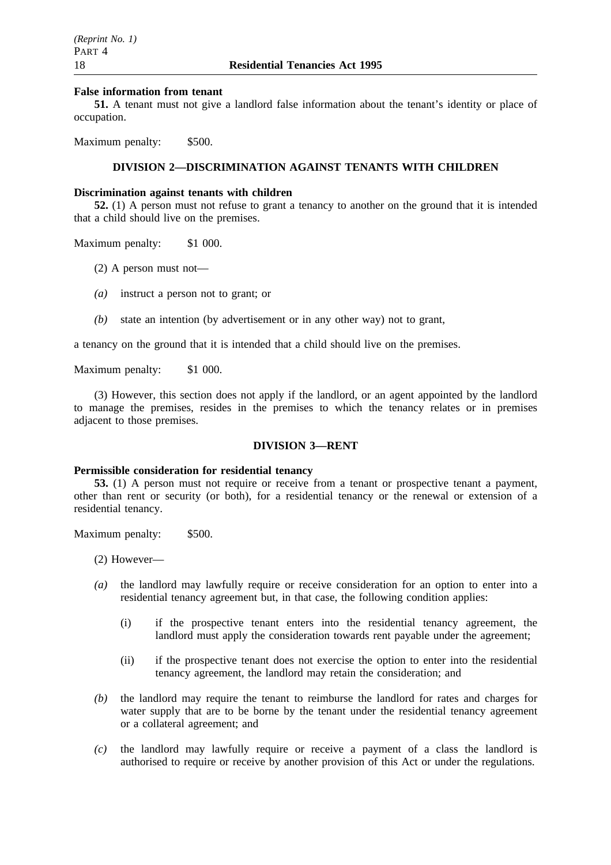# **False information from tenant**

**51.** A tenant must not give a landlord false information about the tenant's identity or place of occupation.

Maximum penalty: \$500.

# **DIVISION 2—DISCRIMINATION AGAINST TENANTS WITH CHILDREN**

#### **Discrimination against tenants with children**

**52.** (1) A person must not refuse to grant a tenancy to another on the ground that it is intended that a child should live on the premises.

Maximum penalty: \$1 000.

- (2) A person must not—
- *(a)* instruct a person not to grant; or
- *(b)* state an intention (by advertisement or in any other way) not to grant,

a tenancy on the ground that it is intended that a child should live on the premises.

Maximum penalty: \$1 000.

(3) However, this section does not apply if the landlord, or an agent appointed by the landlord to manage the premises, resides in the premises to which the tenancy relates or in premises adjacent to those premises.

### **DIVISION 3—RENT**

#### **Permissible consideration for residential tenancy**

**53.** (1) A person must not require or receive from a tenant or prospective tenant a payment, other than rent or security (or both), for a residential tenancy or the renewal or extension of a residential tenancy.

Maximum penalty: \$500.

(2) However—

- *(a)* the landlord may lawfully require or receive consideration for an option to enter into a residential tenancy agreement but, in that case, the following condition applies:
	- (i) if the prospective tenant enters into the residential tenancy agreement, the landlord must apply the consideration towards rent payable under the agreement;
	- (ii) if the prospective tenant does not exercise the option to enter into the residential tenancy agreement, the landlord may retain the consideration; and
- *(b)* the landlord may require the tenant to reimburse the landlord for rates and charges for water supply that are to be borne by the tenant under the residential tenancy agreement or a collateral agreement; and
- *(c)* the landlord may lawfully require or receive a payment of a class the landlord is authorised to require or receive by another provision of this Act or under the regulations.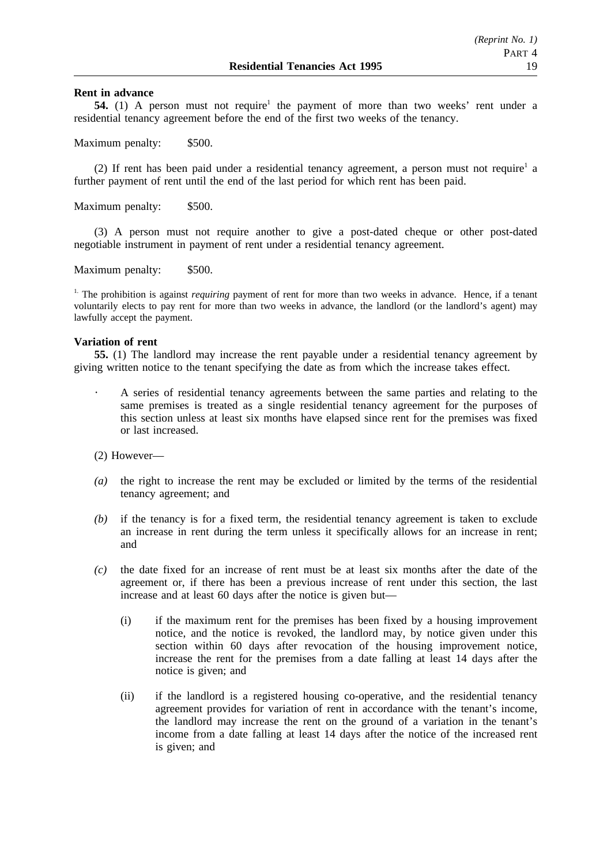### **Rent in advance**

**54.** (1) A person must not require<sup>1</sup> the payment of more than two weeks' rent under a residential tenancy agreement before the end of the first two weeks of the tenancy.

#### Maximum penalty: \$500.

(2) If rent has been paid under a residential tenancy agreement, a person must not require<sup>1</sup> a further payment of rent until the end of the last period for which rent has been paid.

Maximum penalty: \$500.

(3) A person must not require another to give a post-dated cheque or other post-dated negotiable instrument in payment of rent under a residential tenancy agreement.

Maximum penalty: \$500.

<sup>1.</sup> The prohibition is against *requiring* payment of rent for more than two weeks in advance. Hence, if a tenant voluntarily elects to pay rent for more than two weeks in advance, the landlord (or the landlord's agent) may lawfully accept the payment.

#### **Variation of rent**

**55.** (1) The landlord may increase the rent payable under a residential tenancy agreement by giving written notice to the tenant specifying the date as from which the increase takes effect.

- A series of residential tenancy agreements between the same parties and relating to the same premises is treated as a single residential tenancy agreement for the purposes of this section unless at least six months have elapsed since rent for the premises was fixed or last increased.
- (2) However—
- *(a)* the right to increase the rent may be excluded or limited by the terms of the residential tenancy agreement; and
- *(b)* if the tenancy is for a fixed term, the residential tenancy agreement is taken to exclude an increase in rent during the term unless it specifically allows for an increase in rent; and
- *(c)* the date fixed for an increase of rent must be at least six months after the date of the agreement or, if there has been a previous increase of rent under this section, the last increase and at least 60 days after the notice is given but—
	- (i) if the maximum rent for the premises has been fixed by a housing improvement notice, and the notice is revoked, the landlord may, by notice given under this section within 60 days after revocation of the housing improvement notice, increase the rent for the premises from a date falling at least 14 days after the notice is given; and
	- (ii) if the landlord is a registered housing co-operative, and the residential tenancy agreement provides for variation of rent in accordance with the tenant's income, the landlord may increase the rent on the ground of a variation in the tenant's income from a date falling at least 14 days after the notice of the increased rent is given; and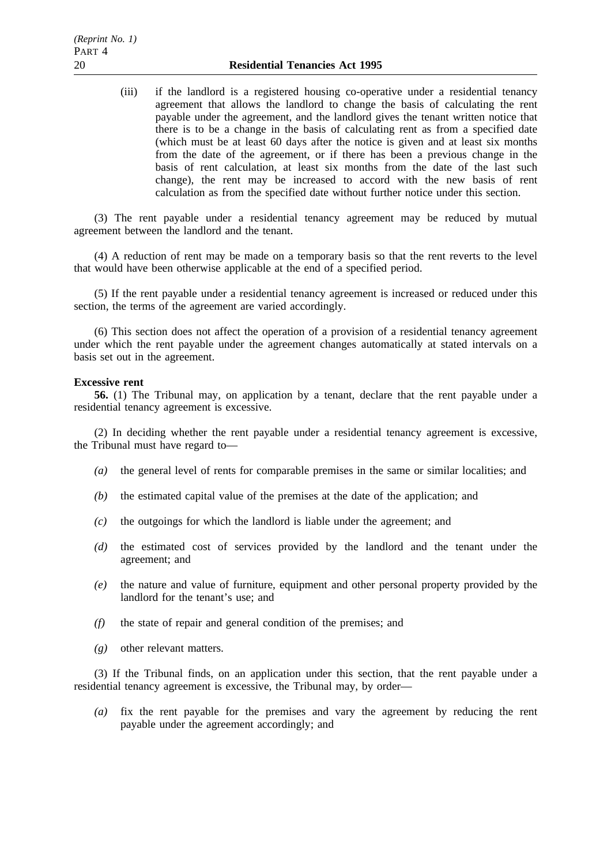(iii) if the landlord is a registered housing co-operative under a residential tenancy agreement that allows the landlord to change the basis of calculating the rent payable under the agreement, and the landlord gives the tenant written notice that there is to be a change in the basis of calculating rent as from a specified date (which must be at least 60 days after the notice is given and at least six months from the date of the agreement, or if there has been a previous change in the basis of rent calculation, at least six months from the date of the last such change), the rent may be increased to accord with the new basis of rent calculation as from the specified date without further notice under this section.

(3) The rent payable under a residential tenancy agreement may be reduced by mutual agreement between the landlord and the tenant.

(4) A reduction of rent may be made on a temporary basis so that the rent reverts to the level that would have been otherwise applicable at the end of a specified period.

(5) If the rent payable under a residential tenancy agreement is increased or reduced under this section, the terms of the agreement are varied accordingly.

(6) This section does not affect the operation of a provision of a residential tenancy agreement under which the rent payable under the agreement changes automatically at stated intervals on a basis set out in the agreement.

#### **Excessive rent**

**56.** (1) The Tribunal may, on application by a tenant, declare that the rent payable under a residential tenancy agreement is excessive.

(2) In deciding whether the rent payable under a residential tenancy agreement is excessive, the Tribunal must have regard to—

- *(a)* the general level of rents for comparable premises in the same or similar localities; and
- *(b)* the estimated capital value of the premises at the date of the application; and
- *(c)* the outgoings for which the landlord is liable under the agreement; and
- *(d)* the estimated cost of services provided by the landlord and the tenant under the agreement; and
- *(e)* the nature and value of furniture, equipment and other personal property provided by the landlord for the tenant's use; and
- *(f)* the state of repair and general condition of the premises; and
- *(g)* other relevant matters.

(3) If the Tribunal finds, on an application under this section, that the rent payable under a residential tenancy agreement is excessive, the Tribunal may, by order—

*(a)* fix the rent payable for the premises and vary the agreement by reducing the rent payable under the agreement accordingly; and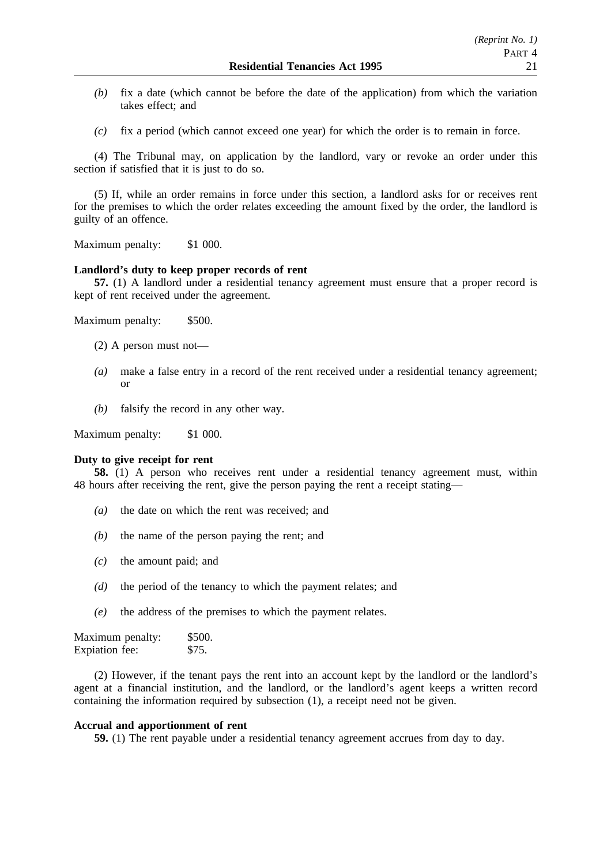- *(b)* fix a date (which cannot be before the date of the application) from which the variation takes effect; and
- *(c)* fix a period (which cannot exceed one year) for which the order is to remain in force.

(4) The Tribunal may, on application by the landlord, vary or revoke an order under this section if satisfied that it is just to do so.

(5) If, while an order remains in force under this section, a landlord asks for or receives rent for the premises to which the order relates exceeding the amount fixed by the order, the landlord is guilty of an offence.

Maximum penalty: \$1 000.

### **Landlord's duty to keep proper records of rent**

**57.** (1) A landlord under a residential tenancy agreement must ensure that a proper record is kept of rent received under the agreement.

Maximum penalty: \$500.

- (2) A person must not—
- *(a)* make a false entry in a record of the rent received under a residential tenancy agreement; or
- *(b)* falsify the record in any other way.

Maximum penalty: \$1 000.

### **Duty to give receipt for rent**

**58.** (1) A person who receives rent under a residential tenancy agreement must, within 48 hours after receiving the rent, give the person paying the rent a receipt stating—

- *(a)* the date on which the rent was received; and
- *(b)* the name of the person paying the rent; and
- *(c)* the amount paid; and
- *(d)* the period of the tenancy to which the payment relates; and
- *(e)* the address of the premises to which the payment relates.

Maximum penalty: \$500. Expiation fee: \$75.

(2) However, if the tenant pays the rent into an account kept by the landlord or the landlord's agent at a financial institution, and the landlord, or the landlord's agent keeps a written record containing the information required by subsection (1), a receipt need not be given.

#### **Accrual and apportionment of rent**

**59.** (1) The rent payable under a residential tenancy agreement accrues from day to day.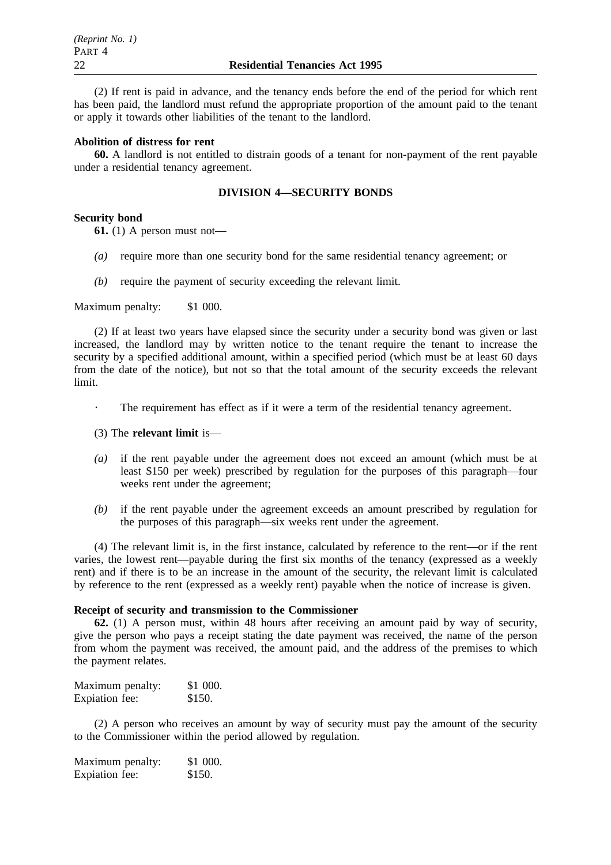(2) If rent is paid in advance, and the tenancy ends before the end of the period for which rent has been paid, the landlord must refund the appropriate proportion of the amount paid to the tenant or apply it towards other liabilities of the tenant to the landlord.

### **Abolition of distress for rent**

**60.** A landlord is not entitled to distrain goods of a tenant for non-payment of the rent payable under a residential tenancy agreement.

### **DIVISION 4—SECURITY BONDS**

### **Security bond**

 $\ddot{\phantom{a}}$ 

**61.** (1) A person must not—

- *(a)* require more than one security bond for the same residential tenancy agreement; or
- *(b)* require the payment of security exceeding the relevant limit.

Maximum penalty: \$1 000.

(2) If at least two years have elapsed since the security under a security bond was given or last increased, the landlord may by written notice to the tenant require the tenant to increase the security by a specified additional amount, within a specified period (which must be at least 60 days from the date of the notice), but not so that the total amount of the security exceeds the relevant limit.

The requirement has effect as if it were a term of the residential tenancy agreement.

(3) The **relevant limit** is—

- *(a)* if the rent payable under the agreement does not exceed an amount (which must be at least \$150 per week) prescribed by regulation for the purposes of this paragraph—four weeks rent under the agreement;
- *(b)* if the rent payable under the agreement exceeds an amount prescribed by regulation for the purposes of this paragraph—six weeks rent under the agreement.

(4) The relevant limit is, in the first instance, calculated by reference to the rent—or if the rent varies, the lowest rent—payable during the first six months of the tenancy (expressed as a weekly rent) and if there is to be an increase in the amount of the security, the relevant limit is calculated by reference to the rent (expressed as a weekly rent) payable when the notice of increase is given.

# **Receipt of security and transmission to the Commissioner**

**62.** (1) A person must, within 48 hours after receiving an amount paid by way of security, give the person who pays a receipt stating the date payment was received, the name of the person from whom the payment was received, the amount paid, and the address of the premises to which the payment relates.

| Maximum penalty: | \$1 000. |
|------------------|----------|
| Expiation fee:   | \$150.   |

(2) A person who receives an amount by way of security must pay the amount of the security to the Commissioner within the period allowed by regulation.

| Maximum penalty: | \$1 000. |
|------------------|----------|
| Expiation fee:   | \$150.   |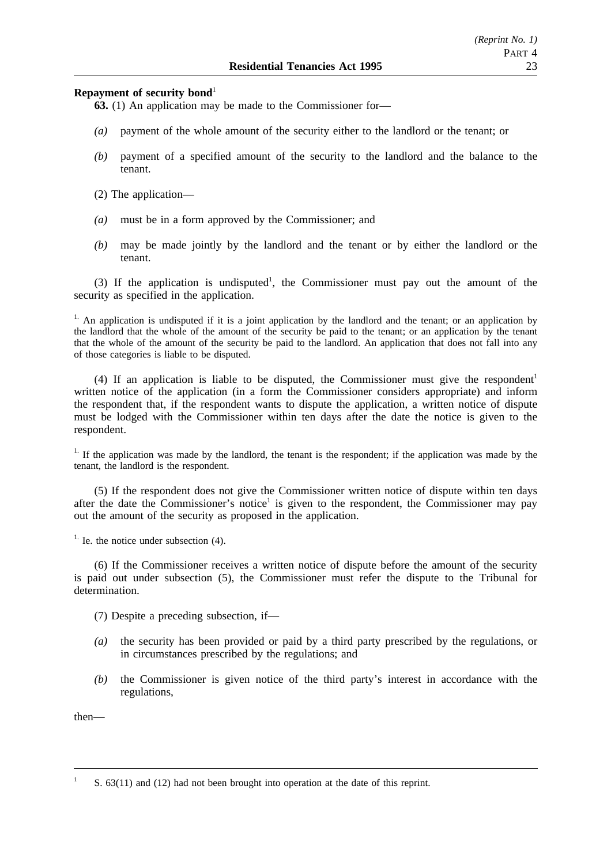### **Repayment of security bond**<sup>1</sup>

**63.** (1) An application may be made to the Commissioner for—

- *(a)* payment of the whole amount of the security either to the landlord or the tenant; or
- *(b)* payment of a specified amount of the security to the landlord and the balance to the tenant.

(2) The application—

- *(a)* must be in a form approved by the Commissioner; and
- *(b)* may be made jointly by the landlord and the tenant or by either the landlord or the tenant.

(3) If the application is undisputed<sup>1</sup>, the Commissioner must pay out the amount of the security as specified in the application.

<sup>1.</sup> An application is undisputed if it is a joint application by the landlord and the tenant; or an application by the landlord that the whole of the amount of the security be paid to the tenant; or an application by the tenant that the whole of the amount of the security be paid to the landlord. An application that does not fall into any of those categories is liable to be disputed.

(4) If an application is liable to be disputed, the Commissioner must give the respondent<sup>1</sup> written notice of the application (in a form the Commissioner considers appropriate) and inform the respondent that, if the respondent wants to dispute the application, a written notice of dispute must be lodged with the Commissioner within ten days after the date the notice is given to the respondent.

 $1$ . If the application was made by the landlord, the tenant is the respondent; if the application was made by the tenant, the landlord is the respondent.

(5) If the respondent does not give the Commissioner written notice of dispute within ten days after the date the Commissioner's notice<sup>1</sup> is given to the respondent, the Commissioner may pay out the amount of the security as proposed in the application.

 $<sup>1</sup>$ . Ie. the notice under subsection (4).</sup>

(6) If the Commissioner receives a written notice of dispute before the amount of the security is paid out under subsection (5), the Commissioner must refer the dispute to the Tribunal for determination.

(7) Despite a preceding subsection, if—

- *(a)* the security has been provided or paid by a third party prescribed by the regulations, or in circumstances prescribed by the regulations; and
- *(b)* the Commissioner is given notice of the third party's interest in accordance with the regulations,

then—

<sup>1</sup> S. 63(11) and (12) had not been brought into operation at the date of this reprint.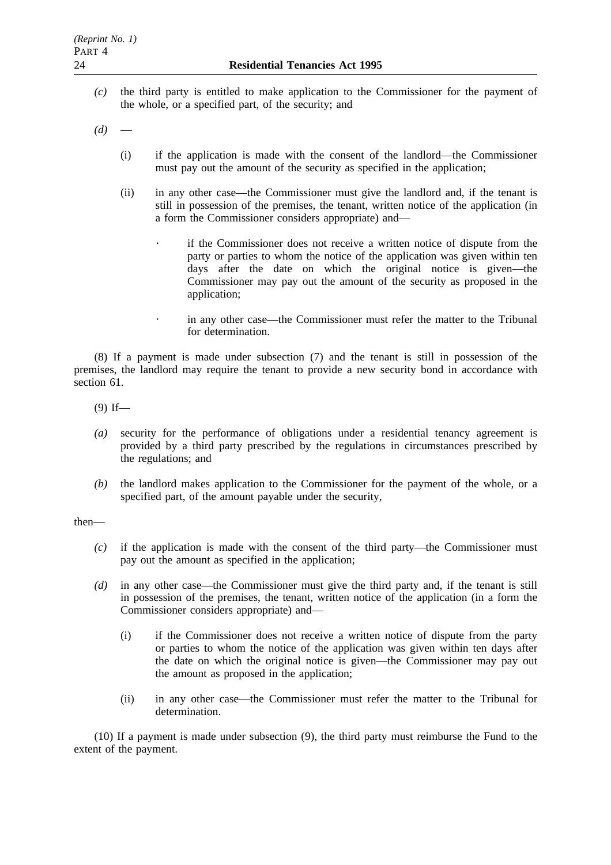- *(c)* the third party is entitled to make application to the Commissioner for the payment of the whole, or a specified part, of the security; and
- *(d)*
	- (i) if the application is made with the consent of the landlord—the Commissioner must pay out the amount of the security as specified in the application:
	- (ii) in any other case—the Commissioner must give the landlord and, if the tenant is still in possession of the premises, the tenant, written notice of the application (in a form the Commissioner considers appropriate) and
		- if the Commissioner does not receive a written notice of dispute from the party or parties to whom the notice of the application was given within ten days after the date on which the original notice is given—the Commissioner may pay out the amount of the security as proposed in the application;
			- in any other case—the Commissioner must refer the matter to the Tribunal for determination.

(8) If a payment is made under subsection (7) and the tenant is still in possession of the premises, the landlord may require the tenant to provide a new security bond in accordance with section 61.

 $(9)$  If—

 $\ddot{\phantom{a}}$ 

- *(a)* security for the performance of obligations under a residential tenancy agreement is provided by a third party prescribed by the regulations in circumstances prescribed by the regulations; and
- *(b)* the landlord makes application to the Commissioner for the payment of the whole, or a specified part, of the amount payable under the security,

#### then—

- *(c)* if the application is made with the consent of the third party—the Commissioner must pay out the amount as specified in the application;
- *(d)* in any other case—the Commissioner must give the third party and, if the tenant is still in possession of the premises, the tenant, written notice of the application (in a form the Commissioner considers appropriate) and—
	- (i) if the Commissioner does not receive a written notice of dispute from the party or parties to whom the notice of the application was given within ten days after the date on which the original notice is given—the Commissioner may pay out the amount as proposed in the application;
	- (ii) in any other case—the Commissioner must refer the matter to the Tribunal for determination.

(10) If a payment is made under subsection (9), the third party must reimburse the Fund to the extent of the payment.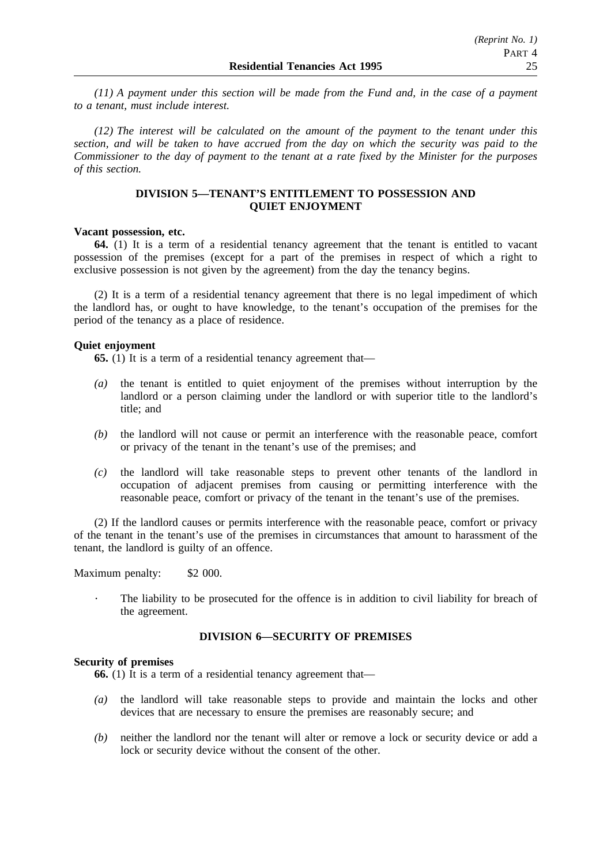*(11) A payment under this section will be made from the Fund and, in the case of a payment to a tenant, must include interest.*

*(12) The interest will be calculated on the amount of the payment to the tenant under this section, and will be taken to have accrued from the day on which the security was paid to the Commissioner to the day of payment to the tenant at a rate fixed by the Minister for the purposes of this section.*

# **DIVISION 5—TENANT'S ENTITLEMENT TO POSSESSION AND QUIET ENJOYMENT**

### **Vacant possession, etc.**

**64.** (1) It is a term of a residential tenancy agreement that the tenant is entitled to vacant possession of the premises (except for a part of the premises in respect of which a right to exclusive possession is not given by the agreement) from the day the tenancy begins.

(2) It is a term of a residential tenancy agreement that there is no legal impediment of which the landlord has, or ought to have knowledge, to the tenant's occupation of the premises for the period of the tenancy as a place of residence.

### **Quiet enjoyment**

**65.** (1) It is a term of a residential tenancy agreement that—

- *(a)* the tenant is entitled to quiet enjoyment of the premises without interruption by the landlord or a person claiming under the landlord or with superior title to the landlord's title; and
- *(b)* the landlord will not cause or permit an interference with the reasonable peace, comfort or privacy of the tenant in the tenant's use of the premises; and
- *(c)* the landlord will take reasonable steps to prevent other tenants of the landlord in occupation of adjacent premises from causing or permitting interference with the reasonable peace, comfort or privacy of the tenant in the tenant's use of the premises.

(2) If the landlord causes or permits interference with the reasonable peace, comfort or privacy of the tenant in the tenant's use of the premises in circumstances that amount to harassment of the tenant, the landlord is guilty of an offence.

Maximum penalty: \$2 000.

The liability to be prosecuted for the offence is in addition to civil liability for breach of the agreement.

# **DIVISION 6—SECURITY OF PREMISES**

#### **Security of premises**

**66.** (1) It is a term of a residential tenancy agreement that—

- *(a)* the landlord will take reasonable steps to provide and maintain the locks and other devices that are necessary to ensure the premises are reasonably secure; and
- *(b)* neither the landlord nor the tenant will alter or remove a lock or security device or add a lock or security device without the consent of the other.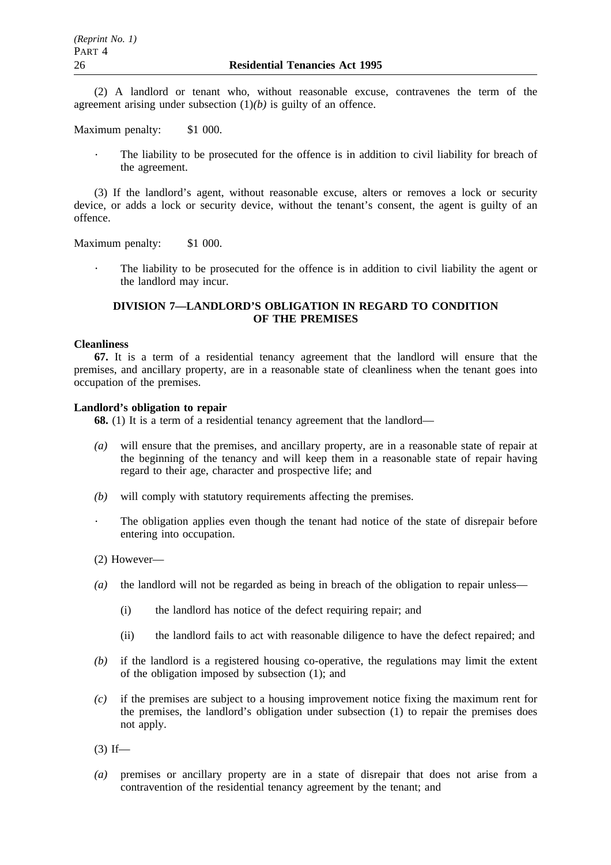(2) A landlord or tenant who, without reasonable excuse, contravenes the term of the agreement arising under subsection (1)*(b)* is guilty of an offence.

Maximum penalty: \$1 000.

The liability to be prosecuted for the offence is in addition to civil liability for breach of the agreement.

(3) If the landlord's agent, without reasonable excuse, alters or removes a lock or security device, or adds a lock or security device, without the tenant's consent, the agent is guilty of an offence.

Maximum penalty: \$1 000.

The liability to be prosecuted for the offence is in addition to civil liability the agent or the landlord may incur.

# **DIVISION 7—LANDLORD'S OBLIGATION IN REGARD TO CONDITION OF THE PREMISES**

#### **Cleanliness**

**67.** It is a term of a residential tenancy agreement that the landlord will ensure that the premises, and ancillary property, are in a reasonable state of cleanliness when the tenant goes into occupation of the premises.

#### **Landlord's obligation to repair**

**68.** (1) It is a term of a residential tenancy agreement that the landlord—

- *(a)* will ensure that the premises, and ancillary property, are in a reasonable state of repair at the beginning of the tenancy and will keep them in a reasonable state of repair having regard to their age, character and prospective life; and
- *(b)* will comply with statutory requirements affecting the premises.
- The obligation applies even though the tenant had notice of the state of disrepair before entering into occupation.
- (2) However—
- *(a)* the landlord will not be regarded as being in breach of the obligation to repair unless—
	- (i) the landlord has notice of the defect requiring repair; and
	- (ii) the landlord fails to act with reasonable diligence to have the defect repaired; and
- *(b)* if the landlord is a registered housing co-operative, the regulations may limit the extent of the obligation imposed by subsection (1); and
- *(c)* if the premises are subject to a housing improvement notice fixing the maximum rent for the premises, the landlord's obligation under subsection (1) to repair the premises does not apply.

 $(3)$  If—

*(a)* premises or ancillary property are in a state of disrepair that does not arise from a contravention of the residential tenancy agreement by the tenant; and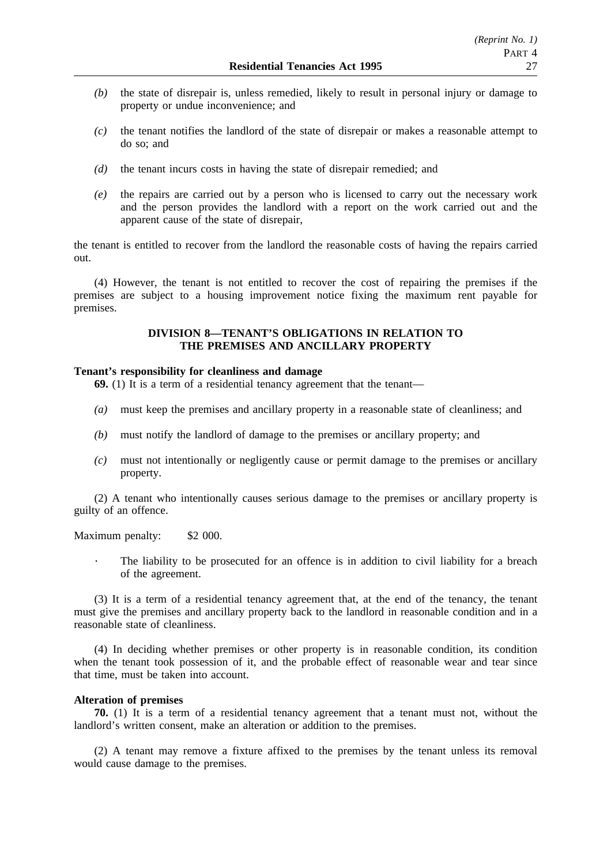- *(b)* the state of disrepair is, unless remedied, likely to result in personal injury or damage to property or undue inconvenience; and
- *(c)* the tenant notifies the landlord of the state of disrepair or makes a reasonable attempt to do so; and
- *(d)* the tenant incurs costs in having the state of disrepair remedied; and
- *(e)* the repairs are carried out by a person who is licensed to carry out the necessary work and the person provides the landlord with a report on the work carried out and the apparent cause of the state of disrepair,

the tenant is entitled to recover from the landlord the reasonable costs of having the repairs carried out.

(4) However, the tenant is not entitled to recover the cost of repairing the premises if the premises are subject to a housing improvement notice fixing the maximum rent payable for premises.

# **DIVISION 8—TENANT'S OBLIGATIONS IN RELATION TO THE PREMISES AND ANCILLARY PROPERTY**

### **Tenant's responsibility for cleanliness and damage**

**69.** (1) It is a term of a residential tenancy agreement that the tenant—

- *(a)* must keep the premises and ancillary property in a reasonable state of cleanliness; and
- *(b)* must notify the landlord of damage to the premises or ancillary property; and
- *(c)* must not intentionally or negligently cause or permit damage to the premises or ancillary property.

(2) A tenant who intentionally causes serious damage to the premises or ancillary property is guilty of an offence.

Maximum penalty: \$2 000.

The liability to be prosecuted for an offence is in addition to civil liability for a breach of the agreement.

(3) It is a term of a residential tenancy agreement that, at the end of the tenancy, the tenant must give the premises and ancillary property back to the landlord in reasonable condition and in a reasonable state of cleanliness.

(4) In deciding whether premises or other property is in reasonable condition, its condition when the tenant took possession of it, and the probable effect of reasonable wear and tear since that time, must be taken into account.

#### **Alteration of premises**

**70.** (1) It is a term of a residential tenancy agreement that a tenant must not, without the landlord's written consent, make an alteration or addition to the premises.

(2) A tenant may remove a fixture affixed to the premises by the tenant unless its removal would cause damage to the premises.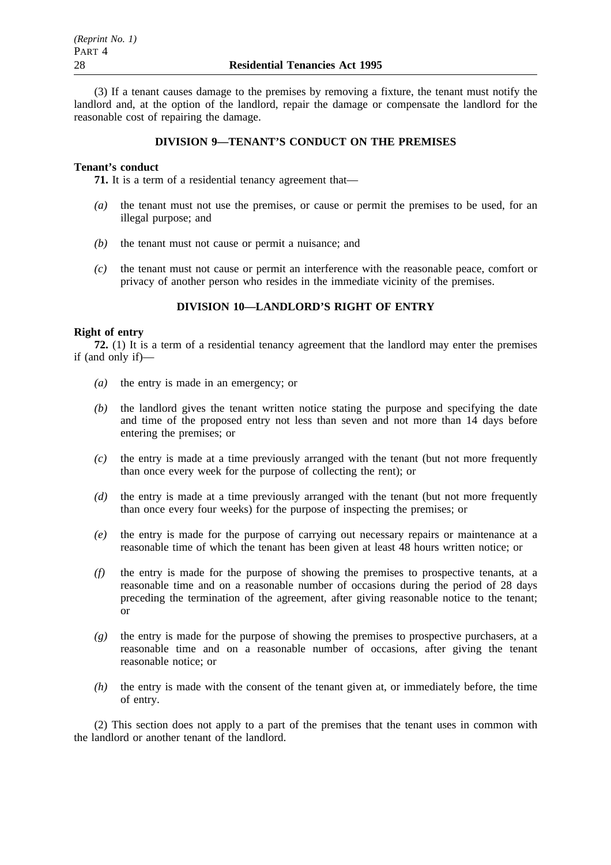(3) If a tenant causes damage to the premises by removing a fixture, the tenant must notify the landlord and, at the option of the landlord, repair the damage or compensate the landlord for the reasonable cost of repairing the damage.

# **DIVISION 9—TENANT'S CONDUCT ON THE PREMISES**

#### **Tenant's conduct**

**71.** It is a term of a residential tenancy agreement that—

- *(a)* the tenant must not use the premises, or cause or permit the premises to be used, for an illegal purpose; and
- *(b)* the tenant must not cause or permit a nuisance; and
- *(c)* the tenant must not cause or permit an interference with the reasonable peace, comfort or privacy of another person who resides in the immediate vicinity of the premises.

### **DIVISION 10—LANDLORD'S RIGHT OF ENTRY**

### **Right of entry**

**72.** (1) It is a term of a residential tenancy agreement that the landlord may enter the premises if (and only if)—

- *(a)* the entry is made in an emergency; or
- *(b)* the landlord gives the tenant written notice stating the purpose and specifying the date and time of the proposed entry not less than seven and not more than 14 days before entering the premises; or
- *(c)* the entry is made at a time previously arranged with the tenant (but not more frequently than once every week for the purpose of collecting the rent); or
- *(d)* the entry is made at a time previously arranged with the tenant (but not more frequently than once every four weeks) for the purpose of inspecting the premises; or
- *(e)* the entry is made for the purpose of carrying out necessary repairs or maintenance at a reasonable time of which the tenant has been given at least 48 hours written notice; or
- *(f)* the entry is made for the purpose of showing the premises to prospective tenants, at a reasonable time and on a reasonable number of occasions during the period of 28 days preceding the termination of the agreement, after giving reasonable notice to the tenant; or
- *(g)* the entry is made for the purpose of showing the premises to prospective purchasers, at a reasonable time and on a reasonable number of occasions, after giving the tenant reasonable notice; or
- *(h)* the entry is made with the consent of the tenant given at, or immediately before, the time of entry.

(2) This section does not apply to a part of the premises that the tenant uses in common with the landlord or another tenant of the landlord.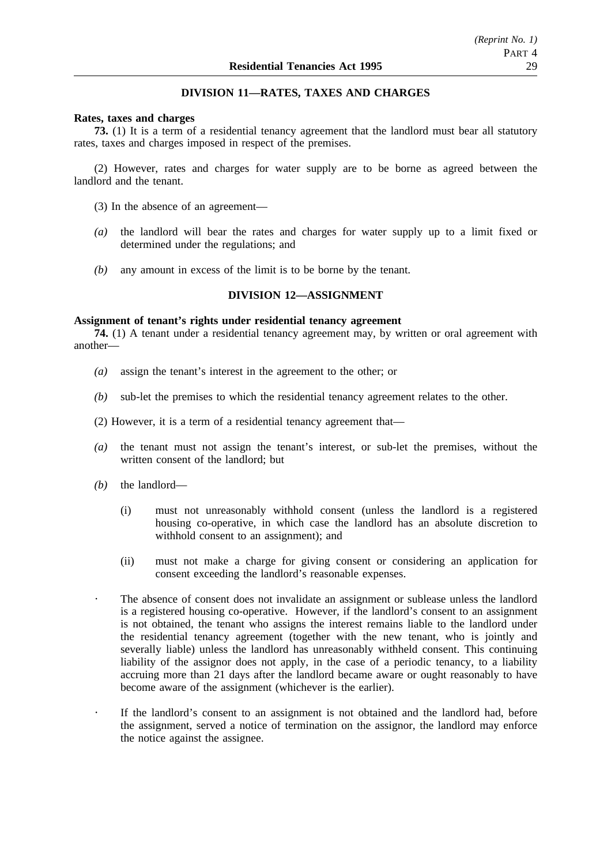# **DIVISION 11—RATES, TAXES AND CHARGES**

### **Rates, taxes and charges**

**73.** (1) It is a term of a residential tenancy agreement that the landlord must bear all statutory rates, taxes and charges imposed in respect of the premises.

(2) However, rates and charges for water supply are to be borne as agreed between the landlord and the tenant.

(3) In the absence of an agreement—

- *(a)* the landlord will bear the rates and charges for water supply up to a limit fixed or determined under the regulations; and
- *(b)* any amount in excess of the limit is to be borne by the tenant.

# **DIVISION 12—ASSIGNMENT**

# **Assignment of tenant's rights under residential tenancy agreement**

**74.** (1) A tenant under a residential tenancy agreement may, by written or oral agreement with another—

- *(a)* assign the tenant's interest in the agreement to the other; or
- *(b)* sub-let the premises to which the residential tenancy agreement relates to the other.
- (2) However, it is a term of a residential tenancy agreement that—
- *(a)* the tenant must not assign the tenant's interest, or sub-let the premises, without the written consent of the landlord; but
- *(b)* the landlord—
	- (i) must not unreasonably withhold consent (unless the landlord is a registered housing co-operative, in which case the landlord has an absolute discretion to withhold consent to an assignment); and
	- (ii) must not make a charge for giving consent or considering an application for consent exceeding the landlord's reasonable expenses.

The absence of consent does not invalidate an assignment or sublease unless the landlord is a registered housing co-operative. However, if the landlord's consent to an assignment is not obtained, the tenant who assigns the interest remains liable to the landlord under the residential tenancy agreement (together with the new tenant, who is jointly and severally liable) unless the landlord has unreasonably withheld consent. This continuing liability of the assignor does not apply, in the case of a periodic tenancy, to a liability accruing more than 21 days after the landlord became aware or ought reasonably to have become aware of the assignment (whichever is the earlier).

If the landlord's consent to an assignment is not obtained and the landlord had, before the assignment, served a notice of termination on the assignor, the landlord may enforce the notice against the assignee.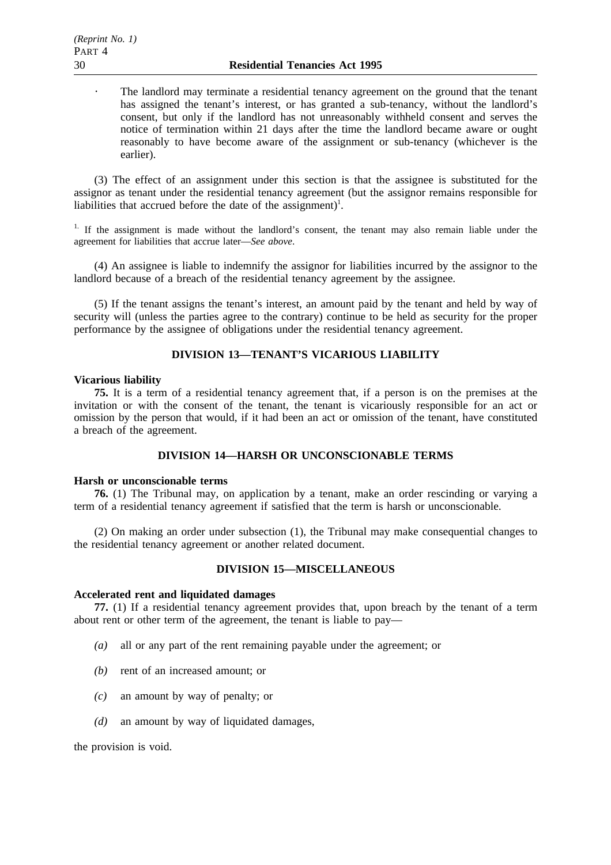The landlord may terminate a residential tenancy agreement on the ground that the tenant has assigned the tenant's interest, or has granted a sub-tenancy, without the landlord's consent, but only if the landlord has not unreasonably withheld consent and serves the notice of termination within 21 days after the time the landlord became aware or ought reasonably to have become aware of the assignment or sub-tenancy (whichever is the earlier).

(3) The effect of an assignment under this section is that the assignee is substituted for the assignor as tenant under the residential tenancy agreement (but the assignor remains responsible for liabilities that accrued before the date of the assignment)<sup>1</sup>.

<sup>1.</sup> If the assignment is made without the landlord's consent, the tenant may also remain liable under the agreement for liabilities that accrue later—*See above*.

(4) An assignee is liable to indemnify the assignor for liabilities incurred by the assignor to the landlord because of a breach of the residential tenancy agreement by the assignee.

(5) If the tenant assigns the tenant's interest, an amount paid by the tenant and held by way of security will (unless the parties agree to the contrary) continue to be held as security for the proper performance by the assignee of obligations under the residential tenancy agreement.

# **DIVISION 13—TENANT'S VICARIOUS LIABILITY**

### **Vicarious liability**

**75.** It is a term of a residential tenancy agreement that, if a person is on the premises at the invitation or with the consent of the tenant, the tenant is vicariously responsible for an act or omission by the person that would, if it had been an act or omission of the tenant, have constituted a breach of the agreement.

# **DIVISION 14—HARSH OR UNCONSCIONABLE TERMS**

### **Harsh or unconscionable terms**

**76.** (1) The Tribunal may, on application by a tenant, make an order rescinding or varying a term of a residential tenancy agreement if satisfied that the term is harsh or unconscionable.

(2) On making an order under subsection (1), the Tribunal may make consequential changes to the residential tenancy agreement or another related document.

# **DIVISION 15—MISCELLANEOUS**

### **Accelerated rent and liquidated damages**

**77.** (1) If a residential tenancy agreement provides that, upon breach by the tenant of a term about rent or other term of the agreement, the tenant is liable to pay—

- *(a)* all or any part of the rent remaining payable under the agreement; or
- *(b)* rent of an increased amount; or
- *(c)* an amount by way of penalty; or
- *(d)* an amount by way of liquidated damages,

the provision is void.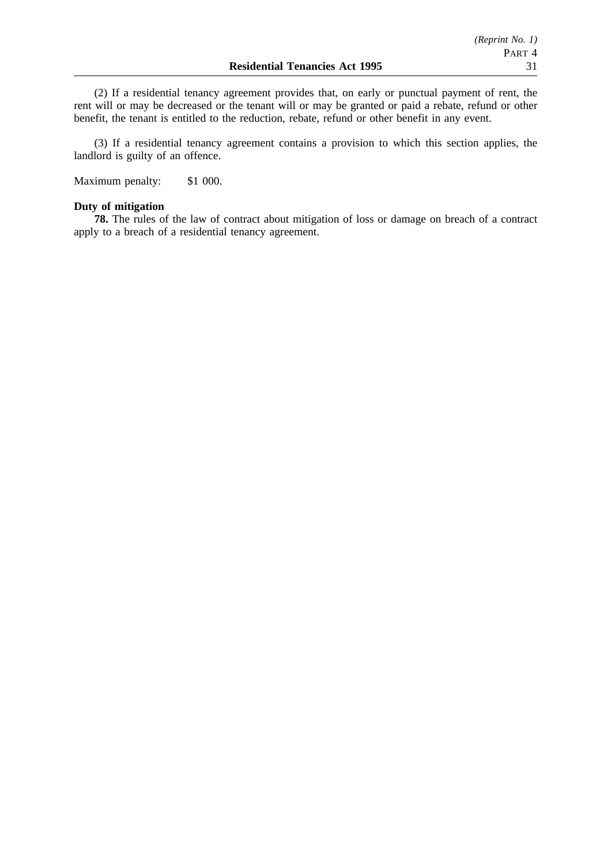(2) If a residential tenancy agreement provides that, on early or punctual payment of rent, the rent will or may be decreased or the tenant will or may be granted or paid a rebate, refund or other benefit, the tenant is entitled to the reduction, rebate, refund or other benefit in any event.

(3) If a residential tenancy agreement contains a provision to which this section applies, the landlord is guilty of an offence.

Maximum penalty: \$1 000.

### **Duty of mitigation**

**78.** The rules of the law of contract about mitigation of loss or damage on breach of a contract apply to a breach of a residential tenancy agreement.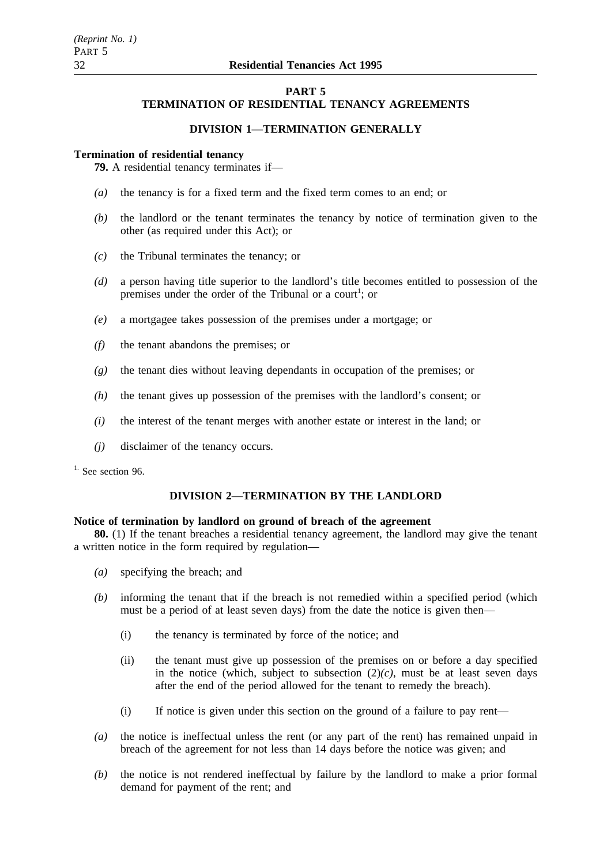### **PART 5**

# **TERMINATION OF RESIDENTIAL TENANCY AGREEMENTS**

# **DIVISION 1—TERMINATION GENERALLY**

#### **Termination of residential tenancy**

**79.** A residential tenancy terminates if—

- *(a)* the tenancy is for a fixed term and the fixed term comes to an end; or
- *(b)* the landlord or the tenant terminates the tenancy by notice of termination given to the other (as required under this Act); or
- *(c)* the Tribunal terminates the tenancy; or
- *(d)* a person having title superior to the landlord's title becomes entitled to possession of the premises under the order of the Tribunal or a court<sup>1</sup>; or
- *(e)* a mortgagee takes possession of the premises under a mortgage; or
- *(f)* the tenant abandons the premises; or
- *(g)* the tenant dies without leaving dependants in occupation of the premises; or
- *(h)* the tenant gives up possession of the premises with the landlord's consent; or
- *(i)* the interest of the tenant merges with another estate or interest in the land; or
- *(j)* disclaimer of the tenancy occurs.

 $<sup>1</sup>$ . See section 96.</sup>

### **DIVISION 2—TERMINATION BY THE LANDLORD**

### **Notice of termination by landlord on ground of breach of the agreement**

**80.** (1) If the tenant breaches a residential tenancy agreement, the landlord may give the tenant a written notice in the form required by regulation—

- *(a)* specifying the breach; and
- *(b)* informing the tenant that if the breach is not remedied within a specified period (which must be a period of at least seven days) from the date the notice is given then—
	- (i) the tenancy is terminated by force of the notice; and
	- (ii) the tenant must give up possession of the premises on or before a day specified in the notice (which, subject to subsection  $(2)(c)$ , must be at least seven days after the end of the period allowed for the tenant to remedy the breach).
	- (i) If notice is given under this section on the ground of a failure to pay rent—
- *(a)* the notice is ineffectual unless the rent (or any part of the rent) has remained unpaid in breach of the agreement for not less than 14 days before the notice was given; and
- *(b)* the notice is not rendered ineffectual by failure by the landlord to make a prior formal demand for payment of the rent; and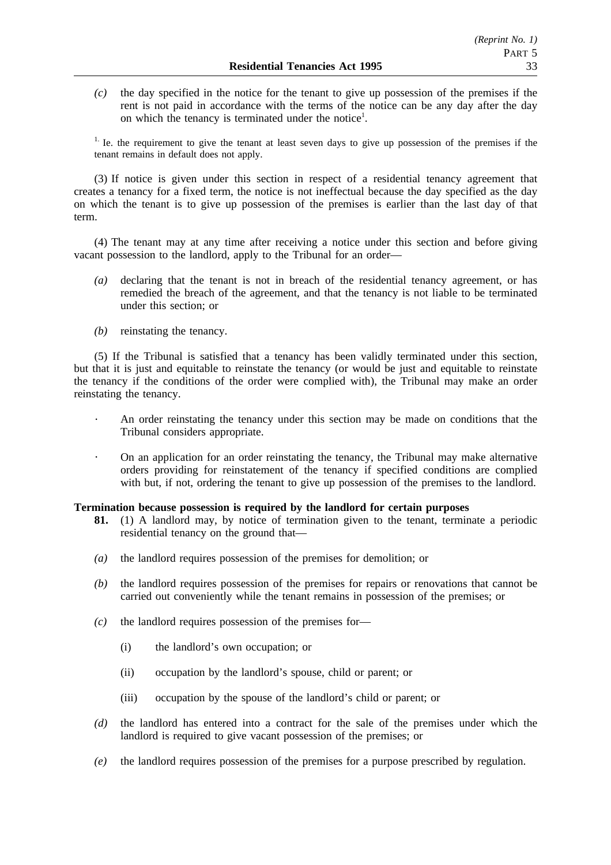*(c)* the day specified in the notice for the tenant to give up possession of the premises if the rent is not paid in accordance with the terms of the notice can be any day after the day on which the tenancy is terminated under the notice<sup>1</sup>.

 $1$ . Ie. the requirement to give the tenant at least seven days to give up possession of the premises if the tenant remains in default does not apply.

(3) If notice is given under this section in respect of a residential tenancy agreement that creates a tenancy for a fixed term, the notice is not ineffectual because the day specified as the day on which the tenant is to give up possession of the premises is earlier than the last day of that term.

(4) The tenant may at any time after receiving a notice under this section and before giving vacant possession to the landlord, apply to the Tribunal for an order—

- *(a)* declaring that the tenant is not in breach of the residential tenancy agreement, or has remedied the breach of the agreement, and that the tenancy is not liable to be terminated under this section; or
- *(b)* reinstating the tenancy.

(5) If the Tribunal is satisfied that a tenancy has been validly terminated under this section, but that it is just and equitable to reinstate the tenancy (or would be just and equitable to reinstate the tenancy if the conditions of the order were complied with), the Tribunal may make an order reinstating the tenancy.

- An order reinstating the tenancy under this section may be made on conditions that the Tribunal considers appropriate.
- $\ddot{\phantom{a}}$ On an application for an order reinstating the tenancy, the Tribunal may make alternative orders providing for reinstatement of the tenancy if specified conditions are complied with but, if not, ordering the tenant to give up possession of the premises to the landlord.

### **Termination because possession is required by the landlord for certain purposes**

- **81.** (1) A landlord may, by notice of termination given to the tenant, terminate a periodic residential tenancy on the ground that—
- *(a)* the landlord requires possession of the premises for demolition; or
- *(b)* the landlord requires possession of the premises for repairs or renovations that cannot be carried out conveniently while the tenant remains in possession of the premises; or
- *(c)* the landlord requires possession of the premises for—
	- (i) the landlord's own occupation; or
	- (ii) occupation by the landlord's spouse, child or parent; or
	- (iii) occupation by the spouse of the landlord's child or parent; or
- *(d)* the landlord has entered into a contract for the sale of the premises under which the landlord is required to give vacant possession of the premises; or
- *(e)* the landlord requires possession of the premises for a purpose prescribed by regulation.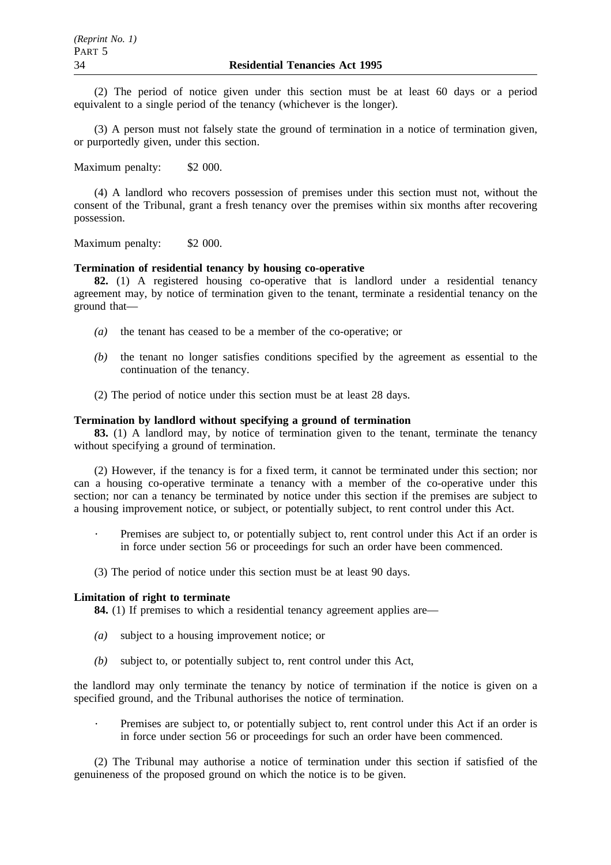(2) The period of notice given under this section must be at least 60 days or a period equivalent to a single period of the tenancy (whichever is the longer).

(3) A person must not falsely state the ground of termination in a notice of termination given, or purportedly given, under this section.

Maximum penalty: \$2 000.

(4) A landlord who recovers possession of premises under this section must not, without the consent of the Tribunal, grant a fresh tenancy over the premises within six months after recovering possession.

Maximum penalty: \$2 000.

#### **Termination of residential tenancy by housing co-operative**

**82.** (1) A registered housing co-operative that is landlord under a residential tenancy agreement may, by notice of termination given to the tenant, terminate a residential tenancy on the ground that—

- *(a)* the tenant has ceased to be a member of the co-operative; or
- *(b)* the tenant no longer satisfies conditions specified by the agreement as essential to the continuation of the tenancy.
- (2) The period of notice under this section must be at least 28 days.

### **Termination by landlord without specifying a ground of termination**

**83.** (1) A landlord may, by notice of termination given to the tenant, terminate the tenancy without specifying a ground of termination.

(2) However, if the tenancy is for a fixed term, it cannot be terminated under this section; nor can a housing co-operative terminate a tenancy with a member of the co-operative under this section; nor can a tenancy be terminated by notice under this section if the premises are subject to a housing improvement notice, or subject, or potentially subject, to rent control under this Act.

- Premises are subject to, or potentially subject to, rent control under this Act if an order is in force under section 56 or proceedings for such an order have been commenced.
- (3) The period of notice under this section must be at least 90 days.

#### **Limitation of right to terminate**

 $\ddot{\bullet}$ 

**84.** (1) If premises to which a residential tenancy agreement applies are—

- *(a)* subject to a housing improvement notice; or
- *(b)* subject to, or potentially subject to, rent control under this Act,

the landlord may only terminate the tenancy by notice of termination if the notice is given on a specified ground, and the Tribunal authorises the notice of termination.

Premises are subject to, or potentially subject to, rent control under this Act if an order is in force under section 56 or proceedings for such an order have been commenced.

(2) The Tribunal may authorise a notice of termination under this section if satisfied of the genuineness of the proposed ground on which the notice is to be given.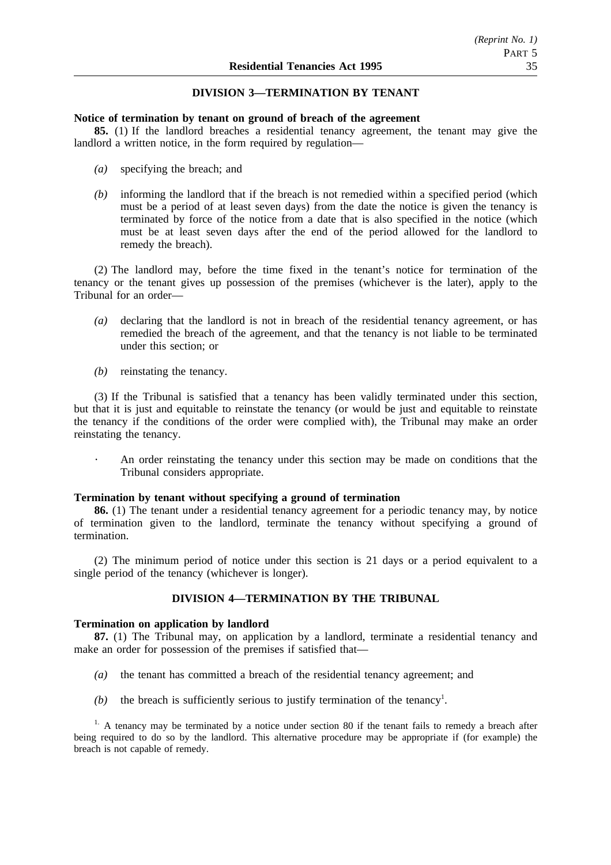### **DIVISION 3—TERMINATION BY TENANT**

### **Notice of termination by tenant on ground of breach of the agreement**

**85.** (1) If the landlord breaches a residential tenancy agreement, the tenant may give the landlord a written notice, in the form required by regulation—

- *(a)* specifying the breach; and
- *(b)* informing the landlord that if the breach is not remedied within a specified period (which must be a period of at least seven days) from the date the notice is given the tenancy is terminated by force of the notice from a date that is also specified in the notice (which must be at least seven days after the end of the period allowed for the landlord to remedy the breach).

(2) The landlord may, before the time fixed in the tenant's notice for termination of the tenancy or the tenant gives up possession of the premises (whichever is the later), apply to the Tribunal for an order—

- *(a)* declaring that the landlord is not in breach of the residential tenancy agreement, or has remedied the breach of the agreement, and that the tenancy is not liable to be terminated under this section; or
- *(b)* reinstating the tenancy.

(3) If the Tribunal is satisfied that a tenancy has been validly terminated under this section, but that it is just and equitable to reinstate the tenancy (or would be just and equitable to reinstate the tenancy if the conditions of the order were complied with), the Tribunal may make an order reinstating the tenancy.

An order reinstating the tenancy under this section may be made on conditions that the Tribunal considers appropriate.

### **Termination by tenant without specifying a ground of termination**

**86.** (1) The tenant under a residential tenancy agreement for a periodic tenancy may, by notice of termination given to the landlord, terminate the tenancy without specifying a ground of termination.

(2) The minimum period of notice under this section is 21 days or a period equivalent to a single period of the tenancy (whichever is longer).

# **DIVISION 4—TERMINATION BY THE TRIBUNAL**

### **Termination on application by landlord**

**87.** (1) The Tribunal may, on application by a landlord, terminate a residential tenancy and make an order for possession of the premises if satisfied that—

- *(a)* the tenant has committed a breach of the residential tenancy agreement; and
- $(b)$  the breach is sufficiently serious to justify termination of the tenancy<sup>1</sup>.

<sup>1.</sup> A tenancy may be terminated by a notice under section 80 if the tenant fails to remedy a breach after being required to do so by the landlord. This alternative procedure may be appropriate if (for example) the breach is not capable of remedy.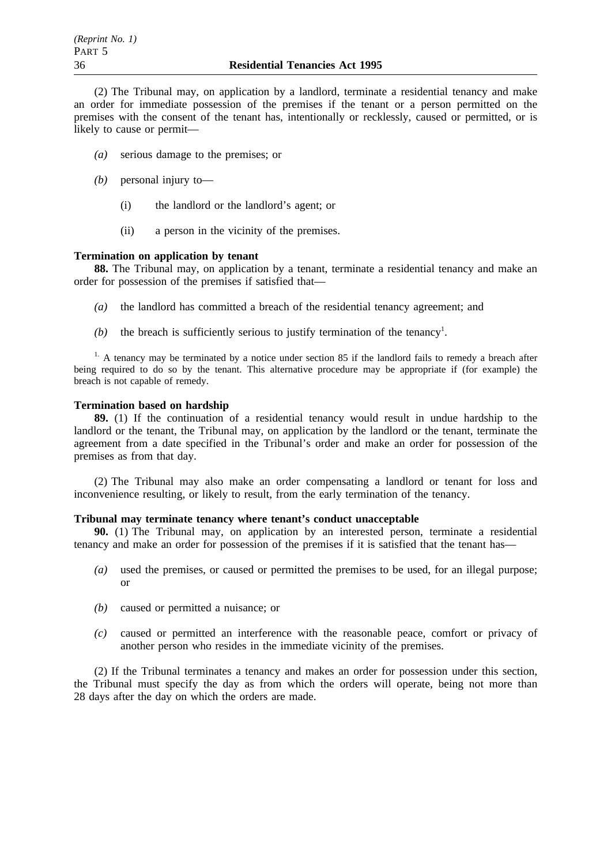(2) The Tribunal may, on application by a landlord, terminate a residential tenancy and make an order for immediate possession of the premises if the tenant or a person permitted on the premises with the consent of the tenant has, intentionally or recklessly, caused or permitted, or is likely to cause or permit—

- *(a)* serious damage to the premises; or
- *(b)* personal injury to—
	- (i) the landlord or the landlord's agent; or
	- (ii) a person in the vicinity of the premises.

### **Termination on application by tenant**

**88.** The Tribunal may, on application by a tenant, terminate a residential tenancy and make an order for possession of the premises if satisfied that—

- *(a)* the landlord has committed a breach of the residential tenancy agreement; and
- $(b)$  the breach is sufficiently serious to justify termination of the tenancy<sup>1</sup>.

<sup>1.</sup> A tenancy may be terminated by a notice under section  $85$  if the landlord fails to remedy a breach after being required to do so by the tenant. This alternative procedure may be appropriate if (for example) the breach is not capable of remedy.

#### **Termination based on hardship**

**89.** (1) If the continuation of a residential tenancy would result in undue hardship to the landlord or the tenant, the Tribunal may, on application by the landlord or the tenant, terminate the agreement from a date specified in the Tribunal's order and make an order for possession of the premises as from that day.

(2) The Tribunal may also make an order compensating a landlord or tenant for loss and inconvenience resulting, or likely to result, from the early termination of the tenancy.

#### **Tribunal may terminate tenancy where tenant's conduct unacceptable**

**90.** (1) The Tribunal may, on application by an interested person, terminate a residential tenancy and make an order for possession of the premises if it is satisfied that the tenant has—

- *(a)* used the premises, or caused or permitted the premises to be used, for an illegal purpose; or
- *(b)* caused or permitted a nuisance; or
- *(c)* caused or permitted an interference with the reasonable peace, comfort or privacy of another person who resides in the immediate vicinity of the premises.

(2) If the Tribunal terminates a tenancy and makes an order for possession under this section, the Tribunal must specify the day as from which the orders will operate, being not more than 28 days after the day on which the orders are made.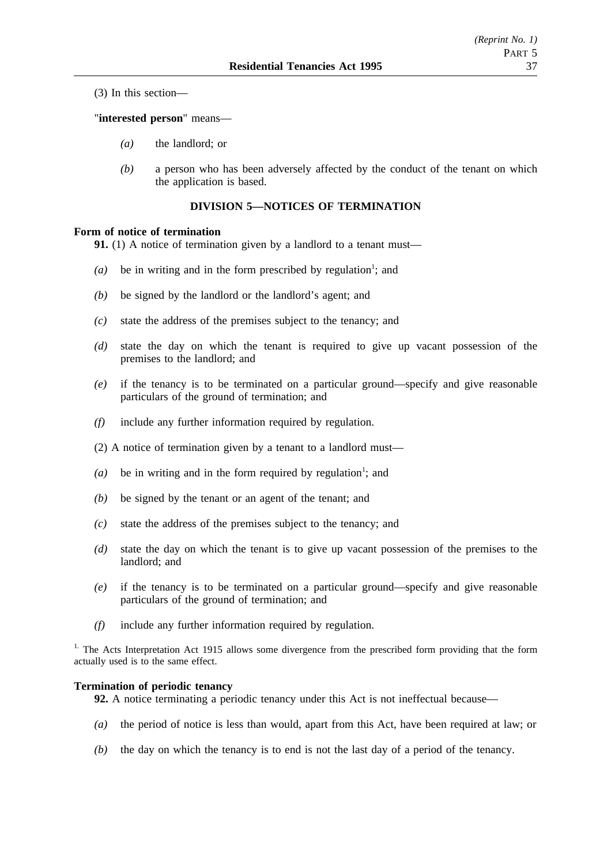(3) In this section—

"**interested person**" means—

- *(a)* the landlord; or
- *(b)* a person who has been adversely affected by the conduct of the tenant on which the application is based.

# **DIVISION 5—NOTICES OF TERMINATION**

### **Form of notice of termination**

**91.** (1) A notice of termination given by a landlord to a tenant must—

- $(a)$  be in writing and in the form prescribed by regulation<sup>1</sup>; and
- *(b)* be signed by the landlord or the landlord's agent; and
- *(c)* state the address of the premises subject to the tenancy; and
- *(d)* state the day on which the tenant is required to give up vacant possession of the premises to the landlord; and
- *(e)* if the tenancy is to be terminated on a particular ground—specify and give reasonable particulars of the ground of termination; and
- *(f)* include any further information required by regulation.
- (2) A notice of termination given by a tenant to a landlord must—
- $(a)$  be in writing and in the form required by regulation<sup>1</sup>; and
- *(b)* be signed by the tenant or an agent of the tenant; and
- *(c)* state the address of the premises subject to the tenancy; and
- *(d)* state the day on which the tenant is to give up vacant possession of the premises to the landlord; and
- *(e)* if the tenancy is to be terminated on a particular ground—specify and give reasonable particulars of the ground of termination; and
- *(f)* include any further information required by regulation.

<sup>1.</sup> The Acts Interpretation Act 1915 allows some divergence from the prescribed form providing that the form actually used is to the same effect.

### **Termination of periodic tenancy**

- **92.** A notice terminating a periodic tenancy under this Act is not ineffectual because—
- *(a)* the period of notice is less than would, apart from this Act, have been required at law; or
- *(b)* the day on which the tenancy is to end is not the last day of a period of the tenancy.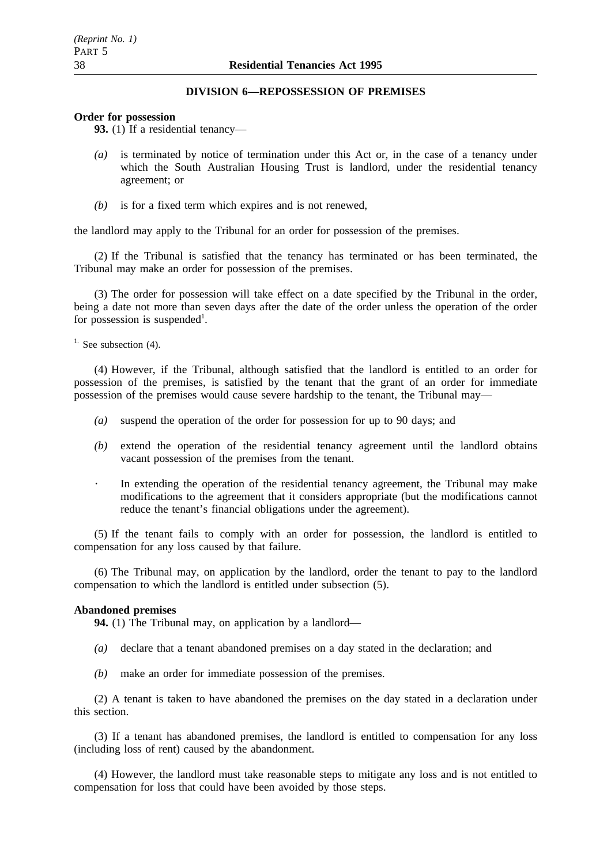### **DIVISION 6—REPOSSESSION OF PREMISES**

### **Order for possession**

**93.** (1) If a residential tenancy—

- *(a)* is terminated by notice of termination under this Act or, in the case of a tenancy under which the South Australian Housing Trust is landlord, under the residential tenancy agreement; or
- *(b)* is for a fixed term which expires and is not renewed,

the landlord may apply to the Tribunal for an order for possession of the premises.

(2) If the Tribunal is satisfied that the tenancy has terminated or has been terminated, the Tribunal may make an order for possession of the premises.

(3) The order for possession will take effect on a date specified by the Tribunal in the order, being a date not more than seven days after the date of the order unless the operation of the order for possession is suspended<sup>1</sup>.

<sup>1.</sup> See subsection  $(4)$ .

(4) However, if the Tribunal, although satisfied that the landlord is entitled to an order for possession of the premises, is satisfied by the tenant that the grant of an order for immediate possession of the premises would cause severe hardship to the tenant, the Tribunal may—

- *(a)* suspend the operation of the order for possession for up to 90 days; and
- *(b)* extend the operation of the residential tenancy agreement until the landlord obtains vacant possession of the premises from the tenant.
	- In extending the operation of the residential tenancy agreement, the Tribunal may make modifications to the agreement that it considers appropriate (but the modifications cannot reduce the tenant's financial obligations under the agreement).

(5) If the tenant fails to comply with an order for possession, the landlord is entitled to compensation for any loss caused by that failure.

(6) The Tribunal may, on application by the landlord, order the tenant to pay to the landlord compensation to which the landlord is entitled under subsection (5).

### **Abandoned premises**

**94.** (1) The Tribunal may, on application by a landlord—

- *(a)* declare that a tenant abandoned premises on a day stated in the declaration; and
- *(b)* make an order for immediate possession of the premises.

(2) A tenant is taken to have abandoned the premises on the day stated in a declaration under this section.

(3) If a tenant has abandoned premises, the landlord is entitled to compensation for any loss (including loss of rent) caused by the abandonment.

(4) However, the landlord must take reasonable steps to mitigate any loss and is not entitled to compensation for loss that could have been avoided by those steps.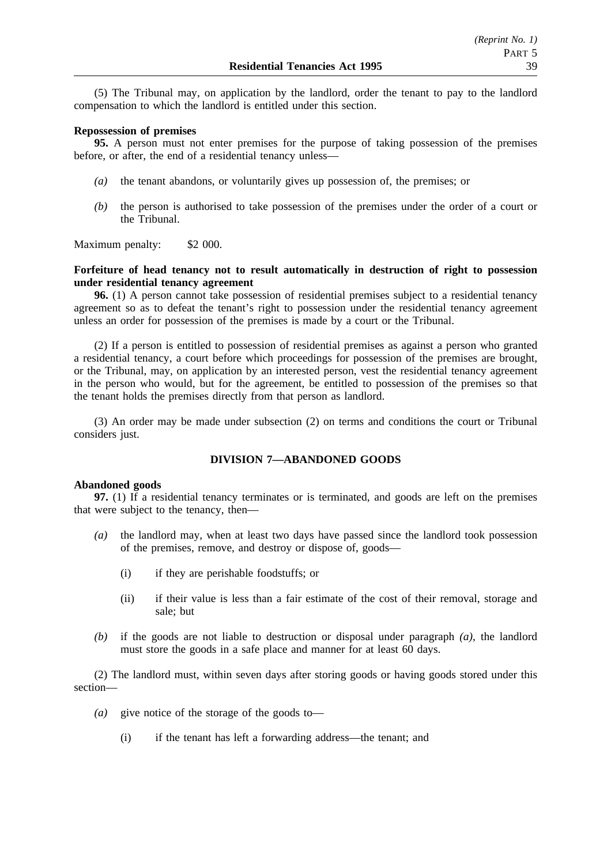(5) The Tribunal may, on application by the landlord, order the tenant to pay to the landlord compensation to which the landlord is entitled under this section.

### **Repossession of premises**

**95.** A person must not enter premises for the purpose of taking possession of the premises before, or after, the end of a residential tenancy unless—

- *(a)* the tenant abandons, or voluntarily gives up possession of, the premises; or
- *(b)* the person is authorised to take possession of the premises under the order of a court or the Tribunal.

Maximum penalty: \$2 000.

# **Forfeiture of head tenancy not to result automatically in destruction of right to possession under residential tenancy agreement**

**96.** (1) A person cannot take possession of residential premises subject to a residential tenancy agreement so as to defeat the tenant's right to possession under the residential tenancy agreement unless an order for possession of the premises is made by a court or the Tribunal.

(2) If a person is entitled to possession of residential premises as against a person who granted a residential tenancy, a court before which proceedings for possession of the premises are brought, or the Tribunal, may, on application by an interested person, vest the residential tenancy agreement in the person who would, but for the agreement, be entitled to possession of the premises so that the tenant holds the premises directly from that person as landlord.

(3) An order may be made under subsection (2) on terms and conditions the court or Tribunal considers just.

# **DIVISION 7—ABANDONED GOODS**

#### **Abandoned goods**

**97.** (1) If a residential tenancy terminates or is terminated, and goods are left on the premises that were subject to the tenancy, then—

- *(a)* the landlord may, when at least two days have passed since the landlord took possession of the premises, remove, and destroy or dispose of, goods—
	- (i) if they are perishable foodstuffs; or
	- (ii) if their value is less than a fair estimate of the cost of their removal, storage and sale; but
- *(b)* if the goods are not liable to destruction or disposal under paragraph *(a)*, the landlord must store the goods in a safe place and manner for at least 60 days.

(2) The landlord must, within seven days after storing goods or having goods stored under this section—

- *(a)* give notice of the storage of the goods to—
	- (i) if the tenant has left a forwarding address—the tenant; and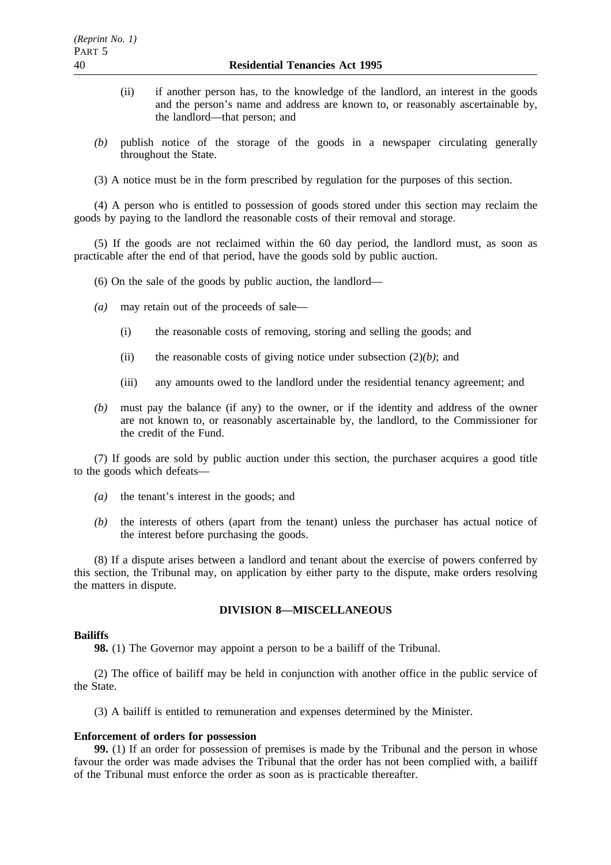- (ii) if another person has, to the knowledge of the landlord, an interest in the goods and the person's name and address are known to, or reasonably ascertainable by, the landlord—that person; and
- *(b)* publish notice of the storage of the goods in a newspaper circulating generally throughout the State.
- (3) A notice must be in the form prescribed by regulation for the purposes of this section.

(4) A person who is entitled to possession of goods stored under this section may reclaim the goods by paying to the landlord the reasonable costs of their removal and storage.

(5) If the goods are not reclaimed within the 60 day period, the landlord must, as soon as practicable after the end of that period, have the goods sold by public auction.

(6) On the sale of the goods by public auction, the landlord—

- *(a)* may retain out of the proceeds of sale—
	- (i) the reasonable costs of removing, storing and selling the goods; and
	- (ii) the reasonable costs of giving notice under subsection  $(2)(b)$ ; and
	- (iii) any amounts owed to the landlord under the residential tenancy agreement; and
- *(b)* must pay the balance (if any) to the owner, or if the identity and address of the owner are not known to, or reasonably ascertainable by, the landlord, to the Commissioner for the credit of the Fund.

(7) If goods are sold by public auction under this section, the purchaser acquires a good title to the goods which defeats—

- *(a)* the tenant's interest in the goods; and
- *(b)* the interests of others (apart from the tenant) unless the purchaser has actual notice of the interest before purchasing the goods.

(8) If a dispute arises between a landlord and tenant about the exercise of powers conferred by this section, the Tribunal may, on application by either party to the dispute, make orders resolving the matters in dispute.

# **DIVISION 8—MISCELLANEOUS**

# **Bailiffs**

**98.** (1) The Governor may appoint a person to be a bailiff of the Tribunal.

(2) The office of bailiff may be held in conjunction with another office in the public service of the State.

(3) A bailiff is entitled to remuneration and expenses determined by the Minister.

#### **Enforcement of orders for possession**

**99.** (1) If an order for possession of premises is made by the Tribunal and the person in whose favour the order was made advises the Tribunal that the order has not been complied with, a bailiff of the Tribunal must enforce the order as soon as is practicable thereafter.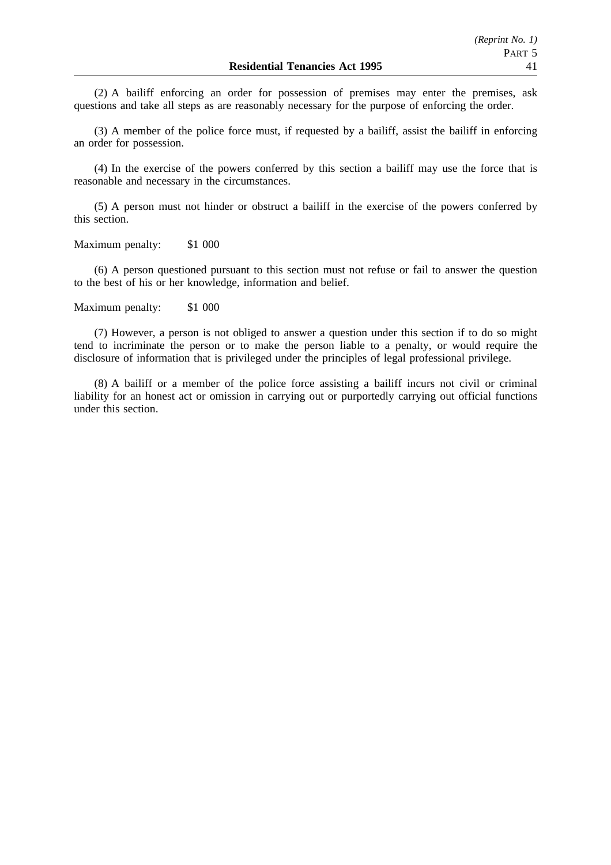(2) A bailiff enforcing an order for possession of premises may enter the premises, ask questions and take all steps as are reasonably necessary for the purpose of enforcing the order.

(3) A member of the police force must, if requested by a bailiff, assist the bailiff in enforcing an order for possession.

(4) In the exercise of the powers conferred by this section a bailiff may use the force that is reasonable and necessary in the circumstances.

(5) A person must not hinder or obstruct a bailiff in the exercise of the powers conferred by this section.

Maximum penalty: \$1 000

(6) A person questioned pursuant to this section must not refuse or fail to answer the question to the best of his or her knowledge, information and belief.

Maximum penalty: \$1 000

(7) However, a person is not obliged to answer a question under this section if to do so might tend to incriminate the person or to make the person liable to a penalty, or would require the disclosure of information that is privileged under the principles of legal professional privilege.

(8) A bailiff or a member of the police force assisting a bailiff incurs not civil or criminal liability for an honest act or omission in carrying out or purportedly carrying out official functions under this section.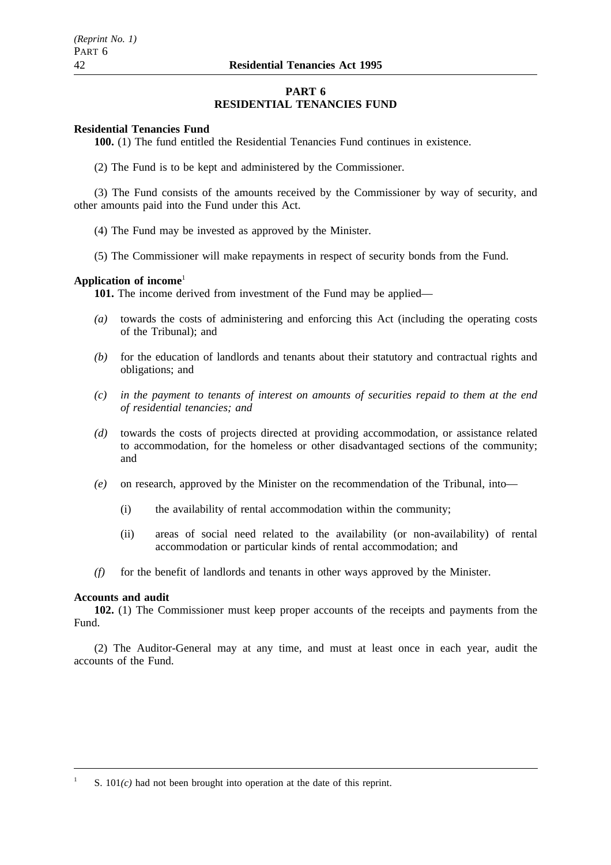### **PART 6 RESIDENTIAL TENANCIES FUND**

### **Residential Tenancies Fund**

**100.** (1) The fund entitled the Residential Tenancies Fund continues in existence.

(2) The Fund is to be kept and administered by the Commissioner.

(3) The Fund consists of the amounts received by the Commissioner by way of security, and other amounts paid into the Fund under this Act.

- (4) The Fund may be invested as approved by the Minister.
- (5) The Commissioner will make repayments in respect of security bonds from the Fund.

#### **Application of income**<sup>1</sup>

**101.** The income derived from investment of the Fund may be applied—

- *(a)* towards the costs of administering and enforcing this Act (including the operating costs of the Tribunal); and
- *(b)* for the education of landlords and tenants about their statutory and contractual rights and obligations; and
- *(c) in the payment to tenants of interest on amounts of securities repaid to them at the end of residential tenancies; and*
- *(d)* towards the costs of projects directed at providing accommodation, or assistance related to accommodation, for the homeless or other disadvantaged sections of the community; and
- *(e)* on research, approved by the Minister on the recommendation of the Tribunal, into—
	- (i) the availability of rental accommodation within the community;
	- (ii) areas of social need related to the availability (or non-availability) of rental accommodation or particular kinds of rental accommodation; and
- *(f)* for the benefit of landlords and tenants in other ways approved by the Minister.

### **Accounts and audit**

**102.** (1) The Commissioner must keep proper accounts of the receipts and payments from the Fund.

(2) The Auditor-General may at any time, and must at least once in each year, audit the accounts of the Fund.

S.  $101(c)$  had not been brought into operation at the date of this reprint.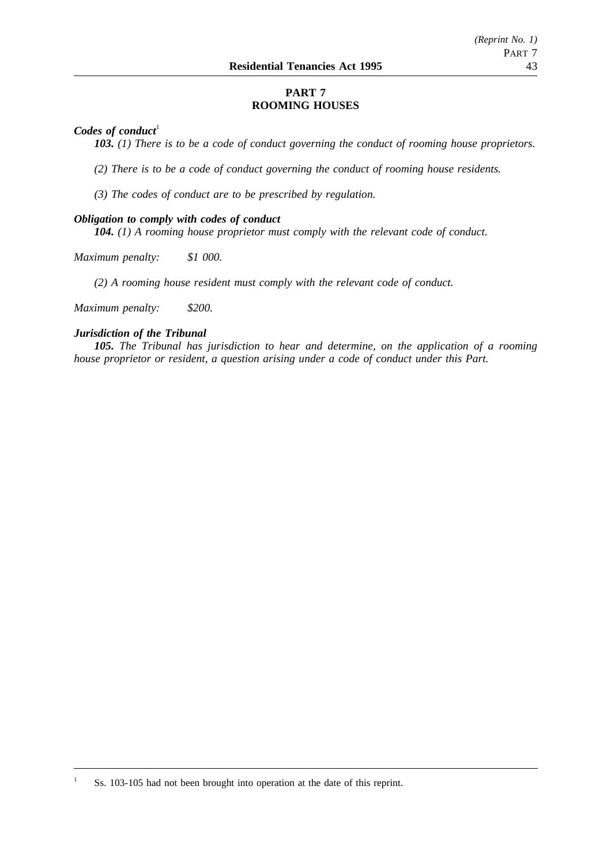# **PART 7 ROOMING HOUSES**

Codes of conduct<sup>1</sup>

*103. (1) There is to be a code of conduct governing the conduct of rooming house proprietors.*

*(2) There is to be a code of conduct governing the conduct of rooming house residents.*

*(3) The codes of conduct are to be prescribed by regulation.*

# *Obligation to comply with codes of conduct*

*104. (1) A rooming house proprietor must comply with the relevant code of conduct.*

*Maximum penalty: \$1 000.*

*(2) A rooming house resident must comply with the relevant code of conduct.*

*Maximum penalty: \$200.*

### *Jurisdiction of the Tribunal*

*105. The Tribunal has jurisdiction to hear and determine, on the application of a rooming house proprietor or resident, a question arising under a code of conduct under this Part.*

Ss. 103-105 had not been brought into operation at the date of this reprint.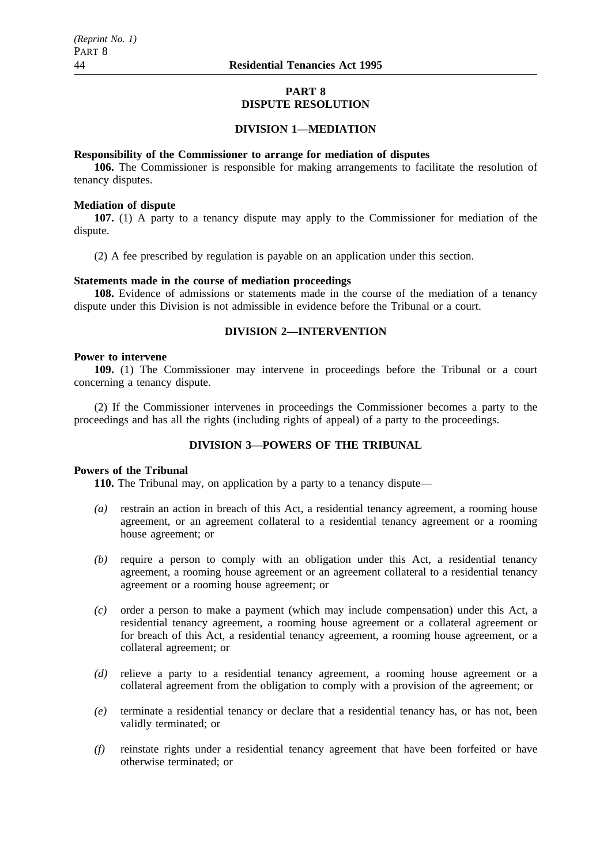### **PART 8 DISPUTE RESOLUTION**

### **DIVISION 1—MEDIATION**

#### **Responsibility of the Commissioner to arrange for mediation of disputes**

**106.** The Commissioner is responsible for making arrangements to facilitate the resolution of tenancy disputes.

#### **Mediation of dispute**

**107.** (1) A party to a tenancy dispute may apply to the Commissioner for mediation of the dispute.

(2) A fee prescribed by regulation is payable on an application under this section.

### **Statements made in the course of mediation proceedings**

**108.** Evidence of admissions or statements made in the course of the mediation of a tenancy dispute under this Division is not admissible in evidence before the Tribunal or a court.

# **DIVISION 2—INTERVENTION**

# **Power to intervene**

**109.** (1) The Commissioner may intervene in proceedings before the Tribunal or a court concerning a tenancy dispute.

(2) If the Commissioner intervenes in proceedings the Commissioner becomes a party to the proceedings and has all the rights (including rights of appeal) of a party to the proceedings.

# **DIVISION 3—POWERS OF THE TRIBUNAL**

# **Powers of the Tribunal**

**110.** The Tribunal may, on application by a party to a tenancy dispute—

- *(a)* restrain an action in breach of this Act, a residential tenancy agreement, a rooming house agreement, or an agreement collateral to a residential tenancy agreement or a rooming house agreement; or
- *(b)* require a person to comply with an obligation under this Act, a residential tenancy agreement, a rooming house agreement or an agreement collateral to a residential tenancy agreement or a rooming house agreement; or
- *(c)* order a person to make a payment (which may include compensation) under this Act, a residential tenancy agreement, a rooming house agreement or a collateral agreement or for breach of this Act, a residential tenancy agreement, a rooming house agreement, or a collateral agreement; or
- *(d)* relieve a party to a residential tenancy agreement, a rooming house agreement or a collateral agreement from the obligation to comply with a provision of the agreement; or
- *(e)* terminate a residential tenancy or declare that a residential tenancy has, or has not, been validly terminated; or
- *(f)* reinstate rights under a residential tenancy agreement that have been forfeited or have otherwise terminated; or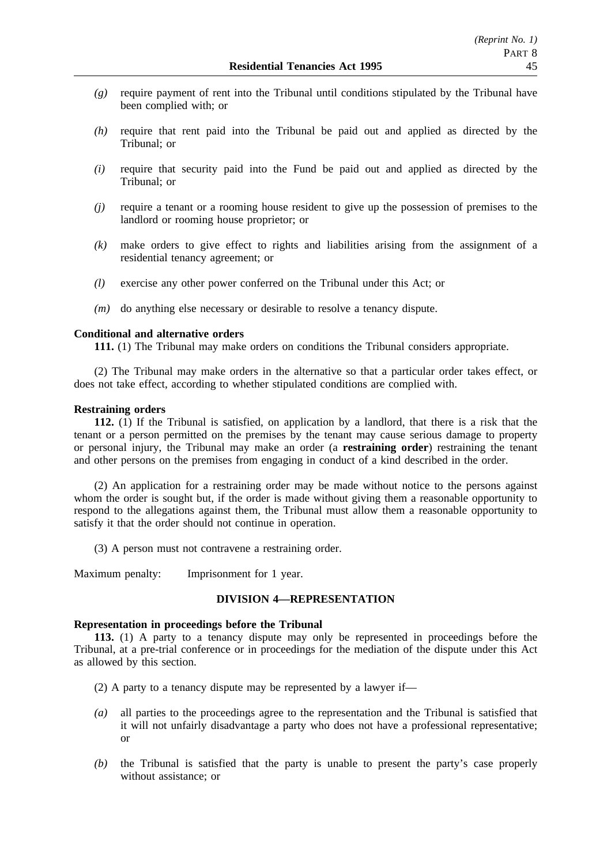- *(g)* require payment of rent into the Tribunal until conditions stipulated by the Tribunal have been complied with; or
- *(h)* require that rent paid into the Tribunal be paid out and applied as directed by the Tribunal; or
- *(i)* require that security paid into the Fund be paid out and applied as directed by the Tribunal; or
- *(j)* require a tenant or a rooming house resident to give up the possession of premises to the landlord or rooming house proprietor; or
- *(k)* make orders to give effect to rights and liabilities arising from the assignment of a residential tenancy agreement; or
- *(l)* exercise any other power conferred on the Tribunal under this Act; or
- *(m)* do anything else necessary or desirable to resolve a tenancy dispute.

# **Conditional and alternative orders**

**111.** (1) The Tribunal may make orders on conditions the Tribunal considers appropriate.

(2) The Tribunal may make orders in the alternative so that a particular order takes effect, or does not take effect, according to whether stipulated conditions are complied with.

# **Restraining orders**

**112.** (1) If the Tribunal is satisfied, on application by a landlord, that there is a risk that the tenant or a person permitted on the premises by the tenant may cause serious damage to property or personal injury, the Tribunal may make an order (a **restraining order**) restraining the tenant and other persons on the premises from engaging in conduct of a kind described in the order.

(2) An application for a restraining order may be made without notice to the persons against whom the order is sought but, if the order is made without giving them a reasonable opportunity to respond to the allegations against them, the Tribunal must allow them a reasonable opportunity to satisfy it that the order should not continue in operation.

(3) A person must not contravene a restraining order.

Maximum penalty: Imprisonment for 1 year.

# **DIVISION 4—REPRESENTATION**

# **Representation in proceedings before the Tribunal**

**113.** (1) A party to a tenancy dispute may only be represented in proceedings before the Tribunal, at a pre-trial conference or in proceedings for the mediation of the dispute under this Act as allowed by this section.

(2) A party to a tenancy dispute may be represented by a lawyer if—

- *(a)* all parties to the proceedings agree to the representation and the Tribunal is satisfied that it will not unfairly disadvantage a party who does not have a professional representative; or
- *(b)* the Tribunal is satisfied that the party is unable to present the party's case properly without assistance; or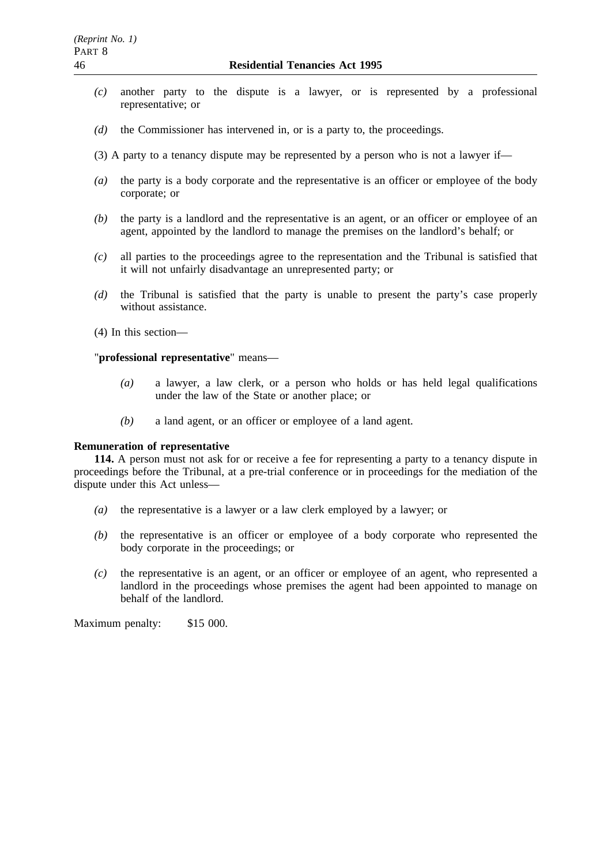- *(c)* another party to the dispute is a lawyer, or is represented by a professional representative; or
- *(d)* the Commissioner has intervened in, or is a party to, the proceedings.
- (3) A party to a tenancy dispute may be represented by a person who is not a lawyer if—
- *(a)* the party is a body corporate and the representative is an officer or employee of the body corporate; or
- *(b)* the party is a landlord and the representative is an agent, or an officer or employee of an agent, appointed by the landlord to manage the premises on the landlord's behalf; or
- *(c)* all parties to the proceedings agree to the representation and the Tribunal is satisfied that it will not unfairly disadvantage an unrepresented party; or
- *(d)* the Tribunal is satisfied that the party is unable to present the party's case properly without assistance.
- (4) In this section—

"**professional representative**" means—

- *(a)* a lawyer, a law clerk, or a person who holds or has held legal qualifications under the law of the State or another place; or
- *(b)* a land agent, or an officer or employee of a land agent.

### **Remuneration of representative**

**114.** A person must not ask for or receive a fee for representing a party to a tenancy dispute in proceedings before the Tribunal, at a pre-trial conference or in proceedings for the mediation of the dispute under this Act unless—

- *(a)* the representative is a lawyer or a law clerk employed by a lawyer; or
- *(b)* the representative is an officer or employee of a body corporate who represented the body corporate in the proceedings; or
- *(c)* the representative is an agent, or an officer or employee of an agent, who represented a landlord in the proceedings whose premises the agent had been appointed to manage on behalf of the landlord.

Maximum penalty: \$15 000.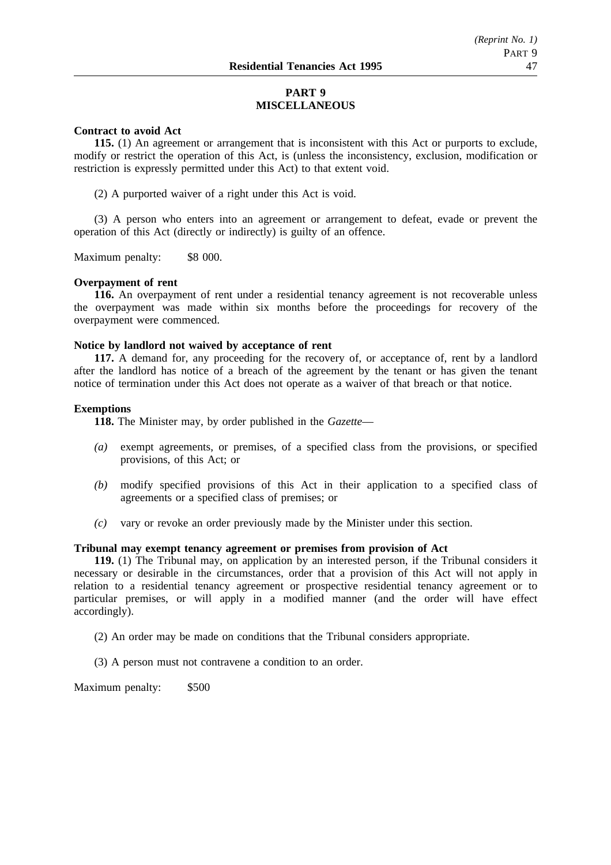# **PART 9 MISCELLANEOUS**

# **Contract to avoid Act**

**115.** (1) An agreement or arrangement that is inconsistent with this Act or purports to exclude, modify or restrict the operation of this Act, is (unless the inconsistency, exclusion, modification or restriction is expressly permitted under this Act) to that extent void.

(2) A purported waiver of a right under this Act is void.

(3) A person who enters into an agreement or arrangement to defeat, evade or prevent the operation of this Act (directly or indirectly) is guilty of an offence.

Maximum penalty: \$8 000.

### **Overpayment of rent**

**116.** An overpayment of rent under a residential tenancy agreement is not recoverable unless the overpayment was made within six months before the proceedings for recovery of the overpayment were commenced.

### **Notice by landlord not waived by acceptance of rent**

**117.** A demand for, any proceeding for the recovery of, or acceptance of, rent by a landlord after the landlord has notice of a breach of the agreement by the tenant or has given the tenant notice of termination under this Act does not operate as a waiver of that breach or that notice.

#### **Exemptions**

**118.** The Minister may, by order published in the *Gazette*—

- *(a)* exempt agreements, or premises, of a specified class from the provisions, or specified provisions, of this Act; or
- *(b)* modify specified provisions of this Act in their application to a specified class of agreements or a specified class of premises; or
- *(c)* vary or revoke an order previously made by the Minister under this section.

### **Tribunal may exempt tenancy agreement or premises from provision of Act**

**119.** (1) The Tribunal may, on application by an interested person, if the Tribunal considers it necessary or desirable in the circumstances, order that a provision of this Act will not apply in relation to a residential tenancy agreement or prospective residential tenancy agreement or to particular premises, or will apply in a modified manner (and the order will have effect accordingly).

- (2) An order may be made on conditions that the Tribunal considers appropriate.
- (3) A person must not contravene a condition to an order.

Maximum penalty: \$500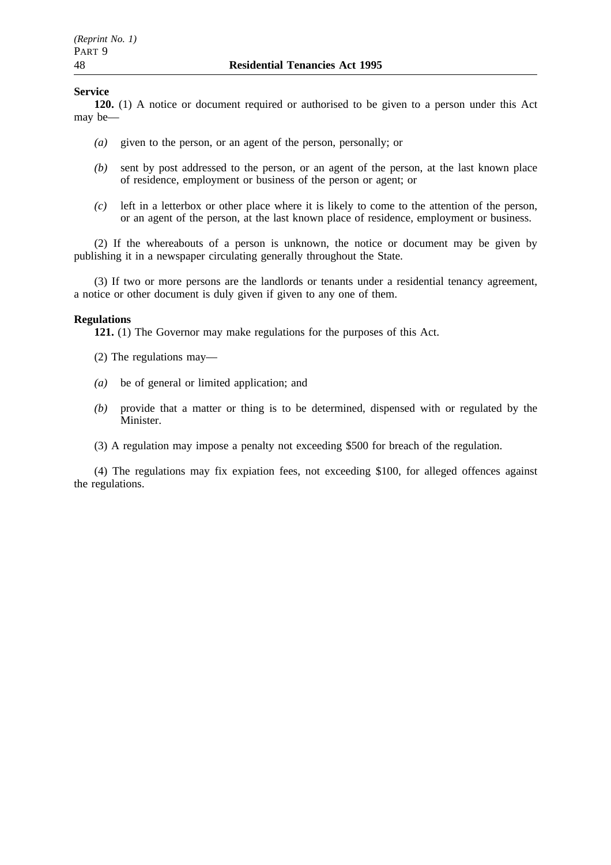### **Service**

**120.** (1) A notice or document required or authorised to be given to a person under this Act may be—

- *(a)* given to the person, or an agent of the person, personally; or
- *(b)* sent by post addressed to the person, or an agent of the person, at the last known place of residence, employment or business of the person or agent; or
- *(c)* left in a letterbox or other place where it is likely to come to the attention of the person, or an agent of the person, at the last known place of residence, employment or business.

(2) If the whereabouts of a person is unknown, the notice or document may be given by publishing it in a newspaper circulating generally throughout the State.

(3) If two or more persons are the landlords or tenants under a residential tenancy agreement, a notice or other document is duly given if given to any one of them.

#### **Regulations**

**121.** (1) The Governor may make regulations for the purposes of this Act.

- (2) The regulations may—
- *(a)* be of general or limited application; and
- *(b)* provide that a matter or thing is to be determined, dispensed with or regulated by the Minister.
- (3) A regulation may impose a penalty not exceeding \$500 for breach of the regulation.

(4) The regulations may fix expiation fees, not exceeding \$100, for alleged offences against the regulations.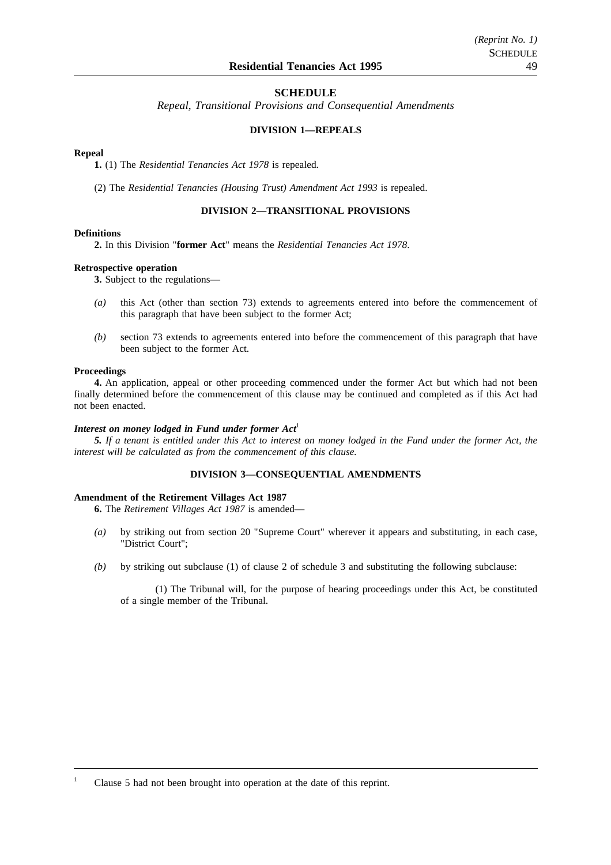### **SCHEDULE**

*Repeal, Transitional Provisions and Consequential Amendments*

#### **DIVISION 1—REPEALS**

### **Repeal**

**1.** (1) The *Residential Tenancies Act 1978* is repealed.

(2) The *Residential Tenancies (Housing Trust) Amendment Act 1993* is repealed.

#### **DIVISION 2—TRANSITIONAL PROVISIONS**

#### **Definitions**

**2.** In this Division "**former Act**" means the *Residential Tenancies Act 1978*.

#### **Retrospective operation**

**3.** Subject to the regulations—

- *(a)* this Act (other than section 73) extends to agreements entered into before the commencement of this paragraph that have been subject to the former Act;
- *(b)* section 73 extends to agreements entered into before the commencement of this paragraph that have been subject to the former Act.

#### **Proceedings**

**4.** An application, appeal or other proceeding commenced under the former Act but which had not been finally determined before the commencement of this clause may be continued and completed as if this Act had not been enacted.

#### *Interest on money lodged in Fund under former Act*<sup>1</sup>

*5. If a tenant is entitled under this Act to interest on money lodged in the Fund under the former Act, the interest will be calculated as from the commencement of this clause.*

#### **DIVISION 3—CONSEQUENTIAL AMENDMENTS**

#### **Amendment of the Retirement Villages Act 1987**

**6.** The *Retirement Villages Act 1987* is amended—

- *(a)* by striking out from section 20 "Supreme Court" wherever it appears and substituting, in each case, "District Court";
- *(b)* by striking out subclause (1) of clause 2 of schedule 3 and substituting the following subclause:

(1) The Tribunal will, for the purpose of hearing proceedings under this Act, be constituted of a single member of the Tribunal.

Clause 5 had not been brought into operation at the date of this reprint.